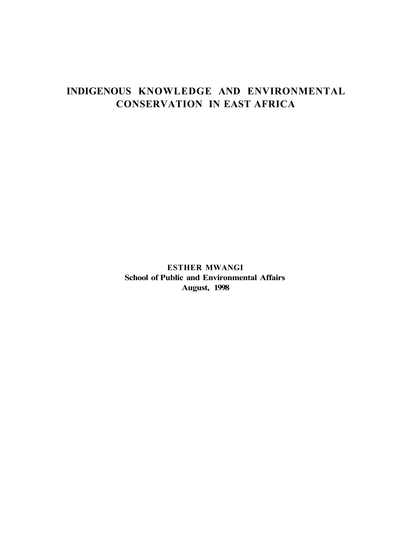# **INDIGENOUS KNOWLEDGE AND ENVIRONMENTAL CONSERVATION IN EAST AFRICA**

**ESTHER MWANGI School of Public and Environmental Affairs August, 1998**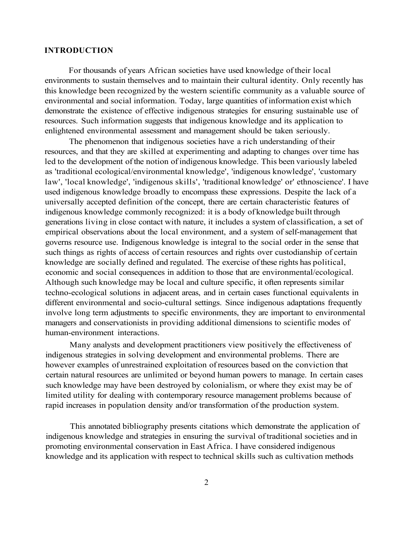#### **INTRODUCTION**

For thousands of years African societies have used knowledge of their local environments to sustain themselves and to maintain their cultural identity. Only recently has this knowledge been recognized by the western scientific community as a valuable source of environmental and social information. Today, large quantities of information exist which demonstrate the existence of effective indigenous strategies for ensuring sustainable use of resources. Such information suggests that indigenous knowledge and its application to enlightened environmental assessment and management should be taken seriously.

The phenomenon that indigenous societies have a rich understanding of their resources, and that they are skilled at experimenting and adapting to changes over time has led to the development of the notion of indigenous knowledge. This been variously labeled as 'traditional ecological/environmental knowledge', 'indigenous knowledge', 'customary law', 'local knowledge', 'indigenous skills', 'traditional knowledge' or' ethnoscience'. I have used indigenous knowledge broadly to encompass these expressions. Despite the lack of a universally accepted definition of the concept, there are certain characteristic features of indigenous knowledge commonly recognized: it is a body of knowledge built through generations living in close contact with nature, it includes a system of classification, a set of empirical observations about the local environment, and a system of self-management that governs resource use. Indigenous knowledge is integral to the social order in the sense that such things as rights of access of certain resources and rights over custodianship of certain knowledge are socially defined and regulated. The exercise of these rights has political, economic and social consequences in addition to those that are environmental/ecological. Although such knowledge may be local and culture specific, it often represents similar techno-ecological solutions in adjacent areas, and in certain cases functional equivalents in different environmental and socio-cultural settings. Since indigenous adaptations frequently involve long term adjustments to specific environments, they are important to environmental managers and conservationists in providing additional dimensions to scientific modes of human-environment interactions.

Many analysts and development practitioners view positively the effectiveness of indigenous strategies in solving development and environmental problems. There are however examples of unrestrained exploitation of resources based on the conviction that certain natural resources are unlimited or beyond human powers to manage. In certain cases such knowledge may have been destroyed by colonialism, or where they exist may be of limited utility for dealing with contemporary resource management problems because of rapid increases in population density and/or transformation of the production system.

This annotated bibliography presents citations which demonstrate the application of indigenous knowledge and strategies in ensuring the survival of traditional societies and in promoting environmental conservation in East Africa. I have considered indigenous knowledge and its application with respect to technical skills such as cultivation methods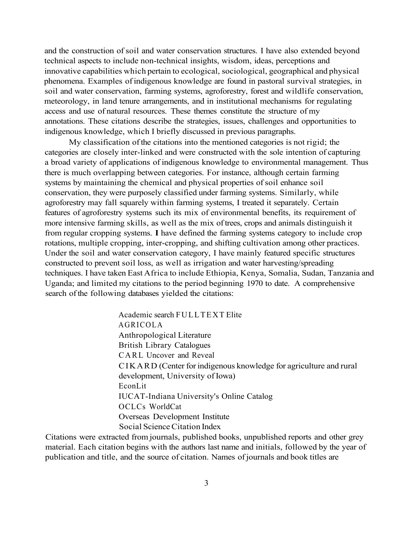and the construction of soil and water conservation structures. I have also extended beyond technical aspects to include non-technical insights, wisdom, ideas, perceptions and innovative capabilities which pertain to ecological, sociological, geographical and physical phenomena. Examples of indigenous knowledge are found in pastoral survival strategies, in soil and water conservation, farming systems, agroforestry, forest and wildlife conservation, meteorology, in land tenure arrangements, and in institutional mechanisms for regulating access and use of natural resources. These themes constitute the structure of my annotations. These citations describe the strategies, issues, challenges and opportunities to indigenous knowledge, which I briefly discussed in previous paragraphs.

My classification of the citations into the mentioned categories is not rigid; the categories are closely inter-linked and were constructed with the sole intention of capturing a broad variety of applications of indigenous knowledge to environmental management. Thus there is much overlapping between categories. For instance, although certain farming systems by maintaining the chemical and physical properties of soil enhance soil conservation, they were purposely classified under farming systems. Similarly, while agroforestry may fall squarely within farming systems, I treated it separately. Certain features of agroforestry systems such its mix of environmental benefits, its requirement of more intensive farming skills, as well as the mix of trees, crops and animals distinguish it from regular cropping systems. **I** have defined the farming systems category to include crop rotations, multiple cropping, inter-cropping, and shifting cultivation among other practices. Under the soil and water conservation category, I have mainly featured specific structures constructed to prevent soil loss, as well as irrigation and water harvesting/spreading techniques. I have taken East Africa to include Ethiopia, Kenya, Somalia, Sudan, Tanzania and Uganda; and limited my citations to the period beginning 1970 to date. A comprehensive search of the following databases yielded the citations:

> Academic search FULLTEXT Elite AGRICOLA Anthropological Literature British Library Catalogues CARL Uncover and Reveal CIKARD (Center for indigenous knowledge for agriculture and rural development, University of Iowa) EconLit IUCAT-Indiana University's Online Catalog OCLCs WorldCat Overseas Development Institute Social Science Citation Index

Citations were extracted from journals, published books, unpublished reports and other grey material. Each citation begins with the authors last name and initials, followed by the year of publication and title, and the source of citation. Names of journals and book titles are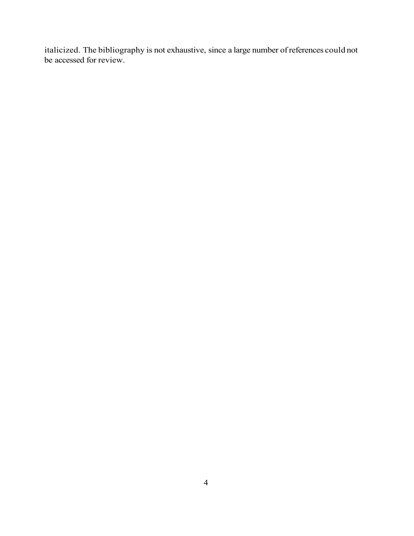italicized. The bibliography is not exhaustive, since a large number of references could not be accessed for review.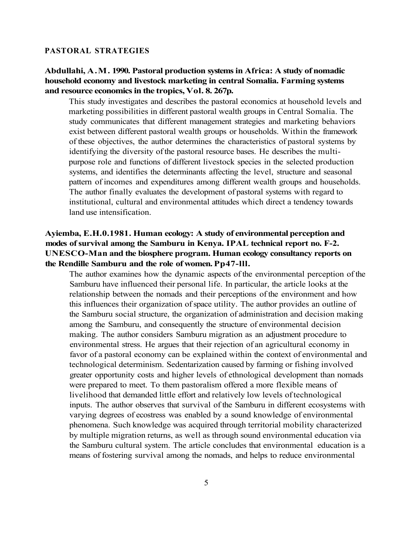#### **PASTORAL STRATEGIES**

### **Abdullahi, A.M. 1990. Pastoral production systems in Africa: A study of nomadic household economy and livestock marketing in central Somalia. Farming systems and resource economics in the tropics, Vol. 8. 267p.**

This study investigates and describes the pastoral economics at household levels and marketing possibilities in different pastoral wealth groups in Central Somalia. The study communicates that different management strategies and marketing behaviors exist between different pastoral wealth groups or households. Within the framework of these objectives, the author determines the characteristics of pastoral systems by identifying the diversity of the pastoral resource bases. He describes the multipurpose role and functions of different livestock species in the selected production systems, and identifies the determinants affecting the level, structure and seasonal pattern of incomes and expenditures among different wealth groups and households. The author finally evaluates the development of pastoral systems with regard to institutional, cultural and environmental attitudes which direct a tendency towards land use intensification.

# **Ayiemba, E.H.0.1981. Human ecology: A study of environmental perception and modes of survival among the Samburu in Kenya. IPAL technical report no. F-2. UNESCO-Man and the biosphere program. Human ecology consultancy reports on the Rendille Samburu and the role of women. Pp47-lll.**

The author examines how the dynamic aspects of the environmental perception of the Samburu have influenced their personal life. In particular, the article looks at the relationship between the nomads and their perceptions of the environment and how this influences their organization of space utility. The author provides an outline of the Samburu social structure, the organization of administration and decision making among the Samburu, and consequently the structure of environmental decision making. The author considers Samburu migration as an adjustment procedure to environmental stress. He argues that their rejection of an agricultural economy in favor of a pastoral economy can be explained within the context of environmental and technological determinism. Sedentarization caused by farming or fishing involved greater opportunity costs and higher levels of ethnological development than nomads were prepared to meet. To them pastoralism offered a more flexible means of livelihood that demanded little effort and relatively low levels of technological inputs. The author observes that survival of the Samburu in different ecosystems with varying degrees of ecostress was enabled by a sound knowledge of environmental phenomena. Such knowledge was acquired through territorial mobility characterized by multiple migration returns, as well as through sound environmental education via the Samburu cultural system. The article concludes that environmental education is a means of fostering survival among the nomads, and helps to reduce environmental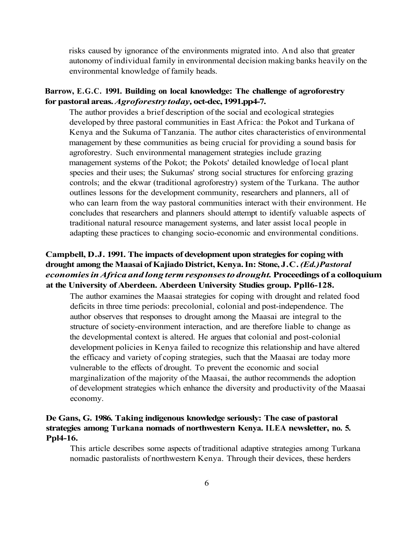risks caused by ignorance of the environments migrated into. And also that greater autonomy of individual family in environmental decision making banks heavily on the environmental knowledge of family heads.

### **Barrow, E.G.C. 1991. Building on local knowledge: The challenge of agroforestry for pastoral areas.** *Agroforestry today,* **oct-dec, 1991.pp4-7.**

The author provides a brief description of the social and ecological strategies developed by three pastoral communities in East Africa: the Pokot and Turkana of Kenya and the Sukuma of Tanzania. The author cites characteristics of environmental management by these communities as being crucial for providing a sound basis for agroforestry. Such environmental management strategies include grazing management systems of the Pokot; the Pokots' detailed knowledge of local plant species and their uses; the Sukumas' strong social structures for enforcing grazing controls; and the ekwar (traditional agroforestry) system of the Turkana. The author outlines lessons for the development community, researchers and planners, all of who can learn from the way pastoral communities interact with their environment. He concludes that researchers and planners should attempt to identify valuable aspects of traditional natural resource management systems, and later assist local people in adapting these practices to changing socio-economic and environmental conditions.

# **Campbell, D.J. 1991. The impacts of development upon strategies for coping with drought among the Maasai of Kajiado District, Kenya. In: Stone, J.C.** *(Ed.)Pastoral economies in Africa and long term responses to drought.* **Proceedings of a colloquium at the University of Aberdeen. Aberdeen University Studies group. Ppll6-128.**

The author examines the Maasai strategies for coping with drought and related food deficits in three time periods: precolonial, colonial and post-independence. The author observes that responses to drought among the Maasai are integral to the structure of society-environment interaction, and are therefore liable to change as the developmental context is altered. He argues that colonial and post-colonial development policies in Kenya failed to recognize this relationship and have altered the efficacy and variety of coping strategies, such that the Maasai are today more vulnerable to the effects of drought. To prevent the economic and social marginalization of the majority of the Maasai, the author recommends the adoption of development strategies which enhance the diversity and productivity of the Maasai economy.

# **De Gans, G. 1986. Taking indigenous knowledge seriously: The case of pastoral strategies among Turkana nomads of northwestern Kenya. ILEA newsletter, no. 5. Ppl4-16.**

This article describes some aspects of traditional adaptive strategies among Turkana nomadic pastoralists of northwestern Kenya. Through their devices, these herders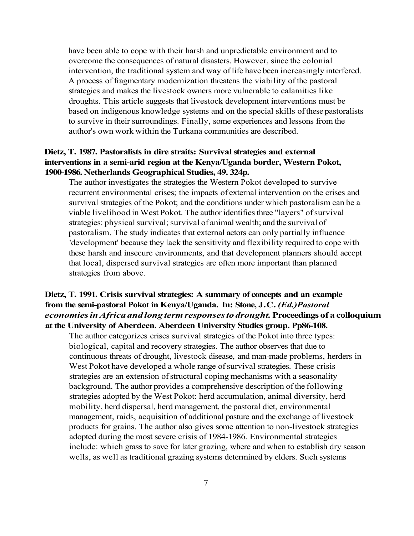have been able to cope with their harsh and unpredictable environment and to overcome the consequences of natural disasters. However, since the colonial intervention, the traditional system and way of life have been increasingly interfered. A process of fragmentary modernization threatens the viability of the pastoral strategies and makes the livestock owners more vulnerable to calamities like droughts. This article suggests that livestock development interventions must be based on indigenous knowledge systems and on the special skills of these pastoralists to survive in their surroundings. Finally, some experiences and lessons from the author's own work within the Turkana communities are described.

### **Dietz, T. 1987. Pastoralists in dire straits: Survival strategies and external interventions in a semi-arid region at the Kenya/Uganda border, Western Pokot, 1900-1986. Netherlands Geographical Studies, 49. 324p.**

The author investigates the strategies the Western Pokot developed to survive recurrent environmental crises; the impacts of external intervention on the crises and survival strategies of the Pokot; and the conditions under which pastoralism can be a viable livelihood in West Pokot. The author identifies three "layers" of survival strategies: physical survival; survival of animal wealth; and the survival of pastoralism. The study indicates that external actors can only partially influence 'development' because they lack the sensitivity and flexibility required to cope with these harsh and insecure environments, and that development planners should accept that local, dispersed survival strategies are often more important than planned strategies from above.

# **Dietz, T. 1991. Crisis survival strategies: A summary of concepts and an example from the semi-pastoral Pokot in Kenya/Uganda. In: Stone, J.C.** *(Ed.)Pastoral economies in Africa and long term responses to drought.* **Proceedings of a colloquium at the University of Aberdeen. Aberdeen University Studies group. Pp86-108.**

The author categorizes crises survival strategies of the Pokot into three types: biological, capital and recovery strategies. The author observes that due to continuous threats of drought, livestock disease, and man-made problems, herders in West Pokot have developed a whole range of survival strategies. These crisis strategies are an extension of structural coping mechanisms with a seasonality background. The author provides a comprehensive description of the following strategies adopted by the West Pokot: herd accumulation, animal diversity, herd mobility, herd dispersal, herd management, the pastoral diet, environmental management, raids, acquisition of additional pasture and the exchange of livestock products for grains. The author also gives some attention to non-livestock strategies adopted during the most severe crisis of 1984-1986. Environmental strategies include: which grass to save for later grazing, where and when to establish dry season wells, as well as traditional grazing systems determined by elders. Such systems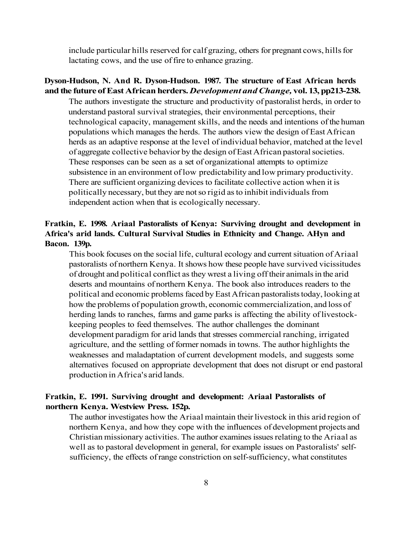include particular hills reserved for calf grazing, others for pregnant cows, hills for lactating cows, and the use of fire to enhance grazing.

#### **Dyson-Hudson, N. And R. Dyson-Hudson. 1987. The structure of East African herds and the future of East African herders.** *Development and Change,* **vol. 13, pp213-238.**

The authors investigate the structure and productivity of pastoralist herds, in order to understand pastoral survival strategies, their environmental perceptions, their technological capacity, management skills, and the needs and intentions of the human populations which manages the herds. The authors view the design of East African herds as an adaptive response at the level of individual behavior, matched at the level of aggregate collective behavior by the design of East African pastoral societies. These responses can be seen as a set of organizational attempts to optimize subsistence in an environment of low predictability and low primary productivity. There are sufficient organizing devices to facilitate collective action when it is politically necessary, but they are not so rigid as to inhibit individuals from independent action when that is ecologically necessary.

# **Fratkin, E. 1998. Ariaal Pastoralists of Kenya: Surviving drought and development in Africa's arid lands. Cultural Survival Studies in Ethnicity and Change. AHyn and Bacon. 139p.**

This book focuses on the social life, cultural ecology and current situation of Ariaal pastoralists of northern Kenya. It shows how these people have survived vicissitudes of drought and political conflict as they wrest a living off their animals in the arid deserts and mountains of northern Kenya. The book also introduces readers to the political and economic problems faced by East African pastoralists today, looking at how the problems of population growth, economic commercialization, and loss of herding lands to ranches, farms and game parks is affecting the ability of livestockkeeping peoples to feed themselves. The author challenges the dominant development paradigm for arid lands that stresses commercial ranching, irrigated agriculture, and the settling of former nomads in towns. The author highlights the weaknesses and maladaptation of current development models, and suggests some alternatives focused on appropriate development that does not disrupt or end pastoral production in Africa's arid lands.

#### **Fratkin, E. 1991. Surviving drought and development: Ariaal Pastoralists of northern Kenya. Westview Press. 152p.**

The author investigates how the Ariaal maintain their livestock in this arid region of northern Kenya, and how they cope with the influences of development projects and Christian missionary activities. The author examines issues relating to the Ariaal as well as to pastoral development in general, for example issues on Pastoralists' selfsufficiency, the effects of range constriction on self-sufficiency, what constitutes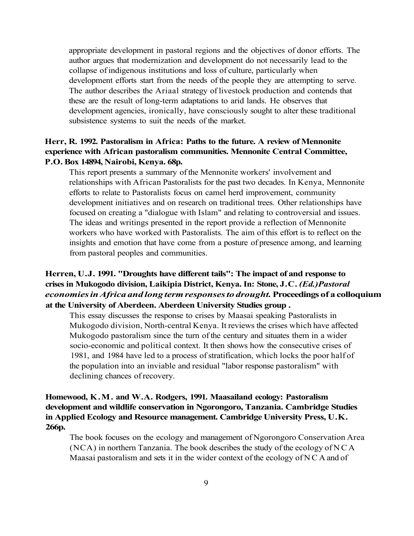appropriate development in pastoral regions and the objectives of donor efforts. The author argues that modernization and development do not necessarily lead to the collapse of indigenous institutions and loss of culture, particularly when development efforts start from the needs of the people they are attempting to serve. The author describes the Ariaal strategy of livestock production and contends that these are the result of long-term adaptations to arid lands. He observes that development agencies, ironically, have consciously sought to alter these traditional subsistence systems to suit the needs of the market.

# **Herr, R. 1992. Pastoralism in Africa: Paths to the future. A review of Mennonite experience with African pastoralism communities. Mennonite Central Committee, P.O. Box 14894, Nairobi, Kenya. 68p.**

This report presents a summary of the Mennonite workers' involvement and relationships with African Pastoralists for the past two decades. In Kenya, Mennonite efforts to relate to Pastoralists focus on camel herd improvement, community development initiatives and on research on traditional trees. Other relationships have focused on creating a "dialogue with Islam" and relating to controversial and issues. The ideas and writings presented in the report provide a reflection of Mennonite workers who have worked with Pastoralists. The aim of this effort is to reflect on the insights and emotion that have come from a posture of presence among, and learning from pastoral peoples and communities.

# **Herren, U.J. 1991. "Droughts have different tails": The impact of and response to crises in Mukogodo division, Laikipia District, Kenya. In: Stone, J.C.** *(Ed.)Pastoral economies in Africa and long term responses to drought.* **Proceedings of a colloquium at the University of Aberdeen. Aberdeen University Studies group .**

This essay discusses the response to crises by Maasai speaking Pastoralists in Mukogodo division, North-central Kenya. It reviews the crises which have affected Mukogodo pastoralism since the turn of the century and situates them in a wider socio-economic and political context. It then shows how the consecutive crises of 1981, and 1984 have led to a process of stratification, which locks the poor half of the population into an inviable and residual "labor response pastoralism" with declining chances of recovery.

**Homewood, K.M. and W.A. Rodgers, 1991. Maasailand ecology: Pastoralism development and wildlife conservation in Ngorongoro, Tanzania. Cambridge Studies in Applied Ecology and Resource management. Cambridge University Press, U.K. 266p.** 

The book focuses on the ecology and management of Ngorongoro Conservation Area (NCA) in northern Tanzania. The book describes the study of the ecology of NC A Maasai pastoralism and sets it in the wider context of the ecology of NC A and of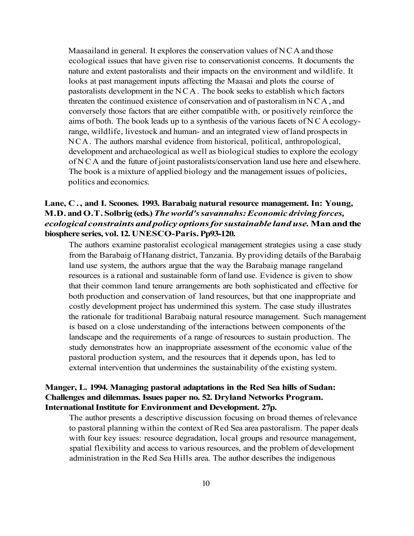Maasailand in general. It explores the conservation values of  $NCA$  and those ecological issues that have given rise to conservationist concerns. It documents the nature and extent pastoralists and their impacts on the environment and wildlife. It looks at past management inputs affecting the Maasai and plots the course of pastoralists development in the NCA. The book seeks to establish which factors threaten the continued existence of conservation and of pastoralism in NCA, and conversely those factors that are either compatible with, or positively reinforce the aims of both. The book leads up to a synthesis of the various facets of NC A ecologyrange, wildlife, livestock and human- and an integrated view of land prospects in NCA. The authors marshal evidence from historical, political, anthropological, development and archaeological as well as biological studies to explore the ecology of NC A and the future of joint pastoralists/conservation land use here and elsewhere. The book is a mixture of applied biology and the management issues of policies, politics and economics.

# **Lane, C. , and I. Scoones. 1993. Barabaig natural resource management. In: Young, M.D. and O.T. Solbrig (eds.)** *The world's savannahs: Economic driving forces, ecological constraints and policy options for sustainable land use.* **Man and the biosphere series, vol. 12. UNESCO-Paris. Pp93-120.**

The authors examine pastoralist ecological management strategies using a case study from the Barabaig of Hanang district, Tanzania. By providing details of the Barabaig land use system, the authors argue that the way the Barabaig manage rangeland resources is a rational and sustainable form of land use. Evidence is given to show that their common land tenure arrangements are both sophisticated and effective for both production and conservation of land resources, but that one inappropriate and costly development project has undermined this system. The case study illustrates the rationale for traditional Barabaig natural resource management. Such management is based on a close understanding of the interactions between components of the landscape and the requirements of a range of resources to sustain production. The study demonstrates how an inappropriate assessment of the economic value of the pastoral production system, and the resources that it depends upon, has led to external intervention that undermines the sustainability of the existing system.

# **Manger, L. 1994. Managing pastoral adaptations in the Red Sea hills of Sudan: Challenges and dilemmas. Issues paper no. 52. Dryland Networks Program. International Institute for Environment and Development. 27p.**

The author presents a descriptive discussion focusing on broad themes of relevance to pastoral planning within the context of Red Sea area pastoralism. The paper deals with four key issues: resource degradation, local groups and resource management, spatial flexibility and access to various resources, and the problem of development administration in the Red Sea Hills area. The author describes the indigenous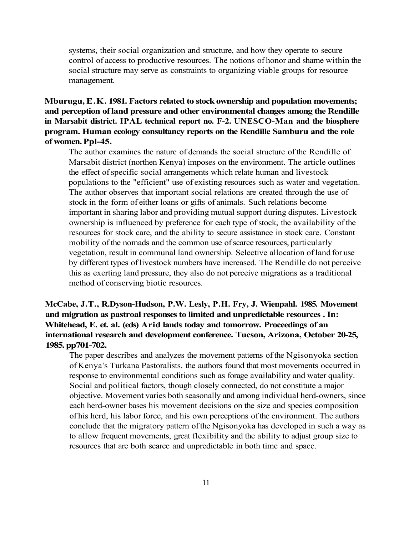systems, their social organization and structure, and how they operate to secure control of access to productive resources. The notions of honor and shame within the social structure may serve as constraints to organizing viable groups for resource management.

# **Mburugu, E.K. 1981. Factors related to stock ownership and population movements; and perception of land pressure and other environmental changes among the Rendille in Marsabit district. IPAL technical report no. F-2. UNESCO-Man and the biosphere program. Human ecology consultancy reports on the Rendille Samburu and the role of women. Ppl-45.**

The author examines the nature of demands the social structure of the Rendille of Marsabit district (northen Kenya) imposes on the environment. The article outlines the effect of specific social arrangements which relate human and livestock populations to the "efficient" use of existing resources such as water and vegetation. The author observes that important social relations are created through the use of stock in the form of either loans or gifts of animals. Such relations become important in sharing labor and providing mutual support during disputes. Livestock ownership is influenced by preference for each type of stock, the availability of the resources for stock care, and the ability to secure assistance in stock care. Constant mobility of the nomads and the common use of scarce resources, particularly vegetation, result in communal land ownership. Selective allocation of land for use by different types of livestock numbers have increased. The Rendille do not perceive this as exerting land pressure, they also do not perceive migrations as a traditional method of conserving biotic resources.

# **McCabe, J.T., R.Dyson-Hudson, P.W. Lesly, P.H. Fry, J. Wienpahl. 1985. Movement and migration as pastroal responses to limited and unpredictable resources . In: Whitehead, E. et. al. (eds) Arid lands today and tomorrow. Proceedings of an international research and development conference. Tucson, Arizona, October 20-25, 1985. pp701-702.**

The paper describes and analyzes the movement patterns of the Ngisonyoka section of Kenya's Turkana Pastoralists. the authors found that most movements occurred in response to environmental conditions such as forage availability and water quality. Social and political factors, though closely connected, do not constitute a major objective. Movement varies both seasonally and among individual herd-owners, since each herd-owner bases his movement decisions on the size and species composition of his herd, his labor force, and his own perceptions of the environment. The authors conclude that the migratory pattern of the Ngisonyoka has developed in such a way as to allow frequent movements, great flexibility and the ability to adjust group size to resources that are both scarce and unpredictable in both time and space.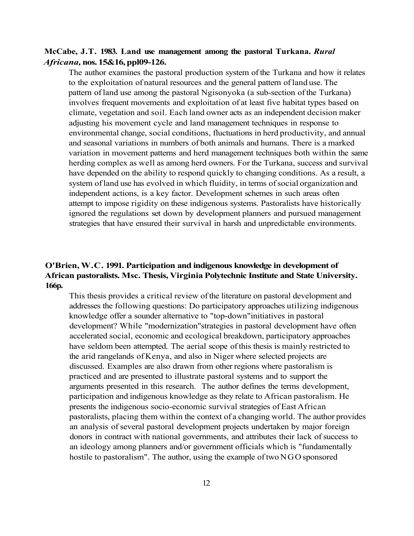#### **McCabe, J.T. 1983. Land use management among the pastoral Turkana.** *Rural Africana,* **nos. 15&16, ppl09-126.**

The author examines the pastoral production system of the Turkana and how it relates to the exploitation of natural resources and the general pattern of land use. The pattern of land use among the pastoral Ngisonyoka (a sub-section of the Turkana) involves frequent movements and exploitation of at least five habitat types based on climate, vegetation and soil. Each land owner acts as an independent decision maker adjusting his movement cycle and land management techniques in response to environmental change, social conditions, fluctuations in herd productivity, and annual and seasonal variations in numbers of both animals and humans. There is a marked variation in movement patterns and herd management techniques both within the same herding complex as well as among herd owners. For the Turkana, success and survival have depended on the ability to respond quickly to changing conditions. As a result, a system of land use has evolved in which fluidity, in terms of social organization and independent actions, is a key factor. Development schemes in such areas often attempt to impose rigidity on these indigenous systems. Pastoralists have historically ignored the regulations set down by development planners and pursued management strategies that have ensured their survival in harsh and unpredictable environments.

# **O'Brien, W.C. 1991. Participation and indigenous knowledge in development of African pastoralists. Msc. Thesis, Virginia Polytechnic Institute and State University. 166p.**

This thesis provides a critical review of the literature on pastoral development and addresses the following questions: Do participatory approaches utilizing indigenous knowledge offer a sounder alternative to "top-down"initiatives in pastoral development? While "modernization"strategies in pastoral development have often accelerated social, economic and ecological breakdown, participatory approaches have seldom been attempted. The aerial scope of this thesis is mainly restricted to the arid rangelands of Kenya, and also in Niger where selected projects are discussed. Examples are also drawn from other regions where pastoralism is practiced and are presented to illustrate pastoral systems and to support the arguments presented in this research. The author defines the terms development, participation and indigenous knowledge as they relate to African pastoralism. He presents the indigenous socio-economic survival strategies of East African pastoralists, placing them within the context of a changing world. The author provides an analysis of several pastoral development projects undertaken by major foreign donors in contract with national governments, and attributes their lack of success to an ideology among planners and/or government officials which is "fundamentally hostile to pastoralism". The author, using the example of two NGO sponsored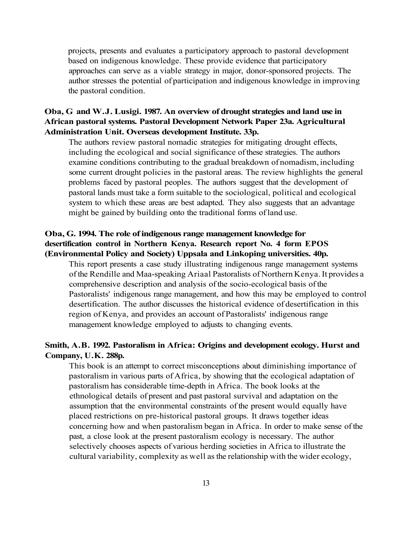projects, presents and evaluates a participatory approach to pastoral development based on indigenous knowledge. These provide evidence that participatory approaches can serve as a viable strategy in major, donor-sponsored projects. The author stresses the potential of participation and indigenous knowledge in improving the pastoral condition.

# **Oba, G and W.J. Lusigi. 1987. An overview of drought strategies and land use in African pastoral systems. Pastoral Development Network Paper 23a. Agricultural Administration Unit. Overseas development Institute. 33p.**

The authors review pastoral nomadic strategies for mitigating drought effects, including the ecological and social significance of these strategies. The authors examine conditions contributing to the gradual breakdown of nomadism, including some current drought policies in the pastoral areas. The review highlights the general problems faced by pastoral peoples. The authors suggest that the development of pastoral lands must take a form suitable to the sociological, political and ecological system to which these areas are best adapted. They also suggests that an advantage might be gained by building onto the traditional forms of land use.

### **Oba, G. 1994. The role of indigenous range management knowledge for desertification control in Northern Kenya. Research report No. 4 form EPOS (Environmental Policy and Society) Uppsala and Linkoping universities. 40p.**

This report presents a case study illustrating indigenous range management systems of the Rendille and Maa-speaking Ariaal Pastoralists of Northern Kenya. It provides a comprehensive description and analysis of the socio-ecological basis of the Pastoralists' indigenous range management, and how this may be employed to control desertification. The author discusses the historical evidence of desertification in this region of Kenya, and provides an account of Pastoralists' indigenous range management knowledge employed to adjusts to changing events.

### **Smith, A.B. 1992. Pastoralism in Africa: Origins and development ecology. Hurst and Company, U.K. 288p.**

This book is an attempt to correct misconceptions about diminishing importance of pastoralism in various parts of Africa, by showing that the ecological adaptation of pastoralism has considerable time-depth in Africa. The book looks at the ethnological details of present and past pastoral survival and adaptation on the assumption that the environmental constraints of the present would equally have placed restrictions on pre-historical pastoral groups. It draws together ideas concerning how and when pastoralism began in Africa. In order to make sense of the past, a close look at the present pastoralism ecology is necessary. The author selectively chooses aspects of various herding societies in Africa to illustrate the cultural variability, complexity as well as the relationship with the wider ecology,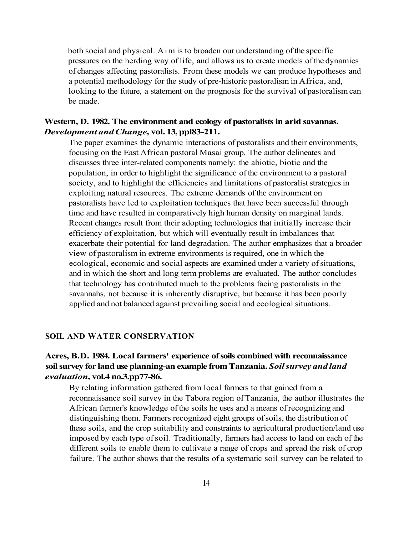both social and physical. Aim is to broaden our understanding of the specific pressures on the herding way of life, and allows us to create models of the dynamics of changes affecting pastoralists. From these models we can produce hypotheses and a potential methodology for the study of pre-historic pastoralism in Africa, and, looking to the future, a statement on the prognosis for the survival of pastoralism can be made.

#### **Western, D. 1982. The environment and ecology of pastoralists in arid savannas.**  *Development and Change,* **vol. 13, ppl83-211.**

The paper examines the dynamic interactions of pastoralists and their environments, focusing on the East African pastoral Masai group. The author delineates and discusses three inter-related components namely: the abiotic, biotic and the population, in order to highlight the significance of the environment to a pastoral society, and to highlight the efficiencies and limitations of pastoralist strategies in exploiting natural resources. The extreme demands of the environment on pastoralists have led to exploitation techniques that have been successful through time and have resulted in comparatively high human density on marginal lands. Recent changes result from their adopting technologies that initially increase their efficiency of exploitation, but which will eventually result in imbalances that exacerbate their potential for land degradation. The author emphasizes that a broader view of pastoralism in extreme environments is required, one in which the ecological, economic and social aspects are examined under a variety of situations, and in which the short and long term problems are evaluated. The author concludes that technology has contributed much to the problems facing pastoralists in the savannahs, not because it is inherently disruptive, but because it has been poorly applied and not balanced against prevailing social and ecological situations.

#### **SOIL AND WATER CONSERVATION**

# **Acres, B.D. 1984. Local farmers' experience of soils combined with reconnaissance soil survey for land use planning-an example from Tanzania.** *Soil survey and land evaluation,* **vol.4 no.3.pp77-86.**

By relating information gathered from local farmers to that gained from a reconnaissance soil survey in the Tabora region of Tanzania, the author illustrates the African farmer's knowledge of the soils he uses and a means of recognizing and distinguishing them. Farmers recognized eight groups of soils, the distribution of these soils, and the crop suitability and constraints to agricultural production/land use imposed by each type of soil. Traditionally, farmers had access to land on each of the different soils to enable them to cultivate a range of crops and spread the risk of crop failure. The author shows that the results of a systematic soil survey can be related to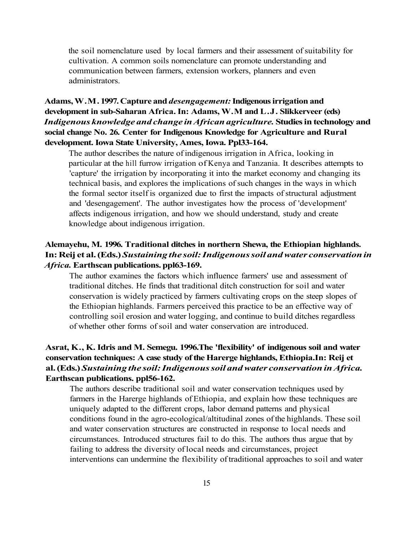the soil nomenclature used by local farmers and their assessment of suitability for cultivation. A common soils nomenclature can promote understanding and communication between farmers, extension workers, planners and even administrators.

# **Adams, W.M. 1997. Capture and** *desengagement:* **Indigenous irrigation and development in sub-Saharan Africa. In: Adams, W.M and L.J. Slikkerveer (eds)**  *Indigenous knowledge and change in African agriculture.* **Studies in technology and social change No. 26. Center for Indigenous Knowledge for Agriculture and Rural development. Iowa State University, Ames, Iowa. Ppl33-164.**

The author describes the nature of indigenous irrigation in Africa, looking in particular at the hill furrow irrigation of Kenya and Tanzania. It describes attempts to 'capture' the irrigation by incorporating it into the market economy and changing its technical basis, and explores the implications of such changes in the ways in which the formal sector itself is organized due to first the impacts of structural adjustment and 'desengagement'. The author investigates how the process of 'development' affects indigenous irrigation, and how we should understand, study and create knowledge about indigenous irrigation.

# **Alemayehu, M. 1996. Traditional ditches in northern Shewa, the Ethiopian highlands. In: Reij et al. (Eds.)** *Sustaining the soil: Indigenous soil and water conservation in Africa.* **Earthscan publications. ppl63-169.**

The author examines the factors which influence farmers' use and assessment of traditional ditches. He finds that traditional ditch construction for soil and water conservation is widely practiced by farmers cultivating crops on the steep slopes of the Ethiopian highlands. Farmers perceived this practice to be an effective way of controlling soil erosion and water logging, and continue to build ditches regardless of whether other forms of soil and water conservation are introduced.

# **Asrat, K., K. Idris and M. Semegu. 1996.The 'flexibility' of indigenous soil and water conservation techniques: A case study of the Harerge highlands, Ethiopia.In: Reij et al. (Eds.)** *Sustaining the soil: Indigenous soil and water conservation in Africa.*  **Earthscan publications. ppl56-162.**

The authors describe traditional soil and water conservation techniques used by farmers in the Harerge highlands of Ethiopia, and explain how these techniques are uniquely adapted to the different crops, labor demand patterns and physical conditions found in the agro-ecological/altitudinal zones of the highlands. These soil and water conservation structures are constructed in response to local needs and circumstances. Introduced structures fail to do this. The authors thus argue that by failing to address the diversity of local needs and circumstances, project interventions can undermine the flexibility of traditional approaches to soil and water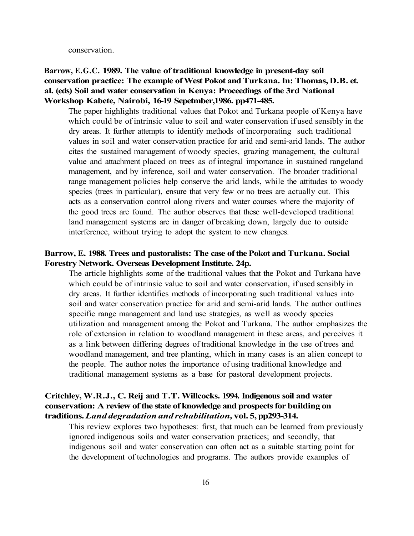conservation.

# **Barrow, E.G.C. 1989. The value of traditional knowledge in present-day soil conservation practice: The example of West Pokot and Turkana. In: Thomas, D.B. et. al. (eds) Soil and water conservation in Kenya: Proceedings of the 3rd National Workshop Kabete, Nairobi, 16-19 Sepetmber,1986. pp471-485.**

The paper highlights traditional values that Pokot and Turkana people of Kenya have which could be of intrinsic value to soil and water conservation if used sensibly in the dry areas. It further attempts to identify methods of incorporating such traditional values in soil and water conservation practice for arid and semi-arid lands. The author cites the sustained management of woody species, grazing management, the cultural value and attachment placed on trees as of integral importance in sustained rangeland management, and by inference, soil and water conservation. The broader traditional range management policies help conserve the arid lands, while the attitudes to woody species (trees in particular), ensure that very few or no trees are actually cut. This acts as a conservation control along rivers and water courses where the majority of the good trees are found. The author observes that these well-developed traditional land management systems are in danger of breaking down, largely due to outside interference, without trying to adopt the system to new changes.

#### **Barrow, E. 1988. Trees and pastoralists: The case of the Pokot and Turkana. Social Forestry Network. Overseas Development Institute. 24p.**

The article highlights some of the traditional values that the Pokot and Turkana have which could be of intrinsic value to soil and water conservation, if used sensibly in dry areas. It further identifies methods of incorporating such traditional values into soil and water conservation practice for arid and semi-arid lands. The author outlines specific range management and land use strategies, as well as woody species utilization and management among the Pokot and Turkana. The author emphasizes the role of extension in relation to woodland management in these areas, and perceives it as a link between differing degrees of traditional knowledge in the use of trees and woodland management, and tree planting, which in many cases is an alien concept to the people. The author notes the importance of using traditional knowledge and traditional management systems as a base for pastoral development projects.

# **Critchley, W.R.J., C. Reij and T.T. Willcocks. 1994. Indigenous soil and water conservation: A review of the state of knowledge and prospects for building on traditions.** *Land degradation and rehabilitation,* **vol. 5, pp293-314.**

This review explores two hypotheses: first, that much can be learned from previously ignored indigenous soils and water conservation practices; and secondly, that indigenous soil and water conservation can often act as a suitable starting point for the development of technologies and programs. The authors provide examples of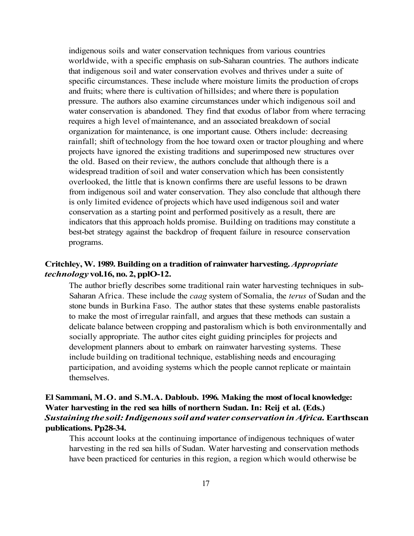indigenous soils and water conservation techniques from various countries worldwide, with a specific emphasis on sub-Saharan countries. The authors indicate that indigenous soil and water conservation evolves and thrives under a suite of specific circumstances. These include where moisture limits the production of crops and fruits; where there is cultivation of hillsides; and where there is population pressure. The authors also examine circumstances under which indigenous soil and water conservation is abandoned. They find that exodus of labor from where terracing requires a high level of maintenance, and an associated breakdown of social organization for maintenance, is one important cause. Others include: decreasing rainfall; shift of technology from the hoe toward oxen or tractor ploughing and where projects have ignored the existing traditions and superimposed new structures over the old. Based on their review, the authors conclude that although there is a widespread tradition of soil and water conservation which has been consistently overlooked, the little that is known confirms there are useful lessons to be drawn from indigenous soil and water conservation. They also conclude that although there is only limited evidence of projects which have used indigenous soil and water conservation as a starting point and performed positively as a result, there are indicators that this approach holds promise. Building on traditions may constitute a best-bet strategy against the backdrop of frequent failure in resource conservation programs.

### **Critchley, W. 1989. Building on a tradition of rainwater harvesting.** *Appropriate technology* **vol.16, no. 2, pplO-12.**

The author briefly describes some traditional rain water harvesting techniques in sub-Saharan Africa. These include the *caag* system of Somalia, the *terus* of Sudan and the stone bunds in Burkina Faso. The author states that these systems enable pastoralists to make the most of irregular rainfall, and argues that these methods can sustain a delicate balance between cropping and pastoralism which is both environmentally and socially appropriate. The author cites eight guiding principles for projects and development planners about to embark on rainwater harvesting systems. These include building on traditional technique, establishing needs and encouraging participation, and avoiding systems which the people cannot replicate or maintain themselves.

# **El Sammani, M.O. and S.M.A. Dabloub. 1996. Making the most of local knowledge: Water harvesting in the red sea hills of northern Sudan. In: Reij et al. (Eds.)**  *Sustaining the soil: Indigenous soil and water conservation in Africa.* **Earthscan publications. Pp28-34.**

This account looks at the continuing importance of indigenous techniques of water harvesting in the red sea hills of Sudan. Water harvesting and conservation methods have been practiced for centuries in this region, a region which would otherwise be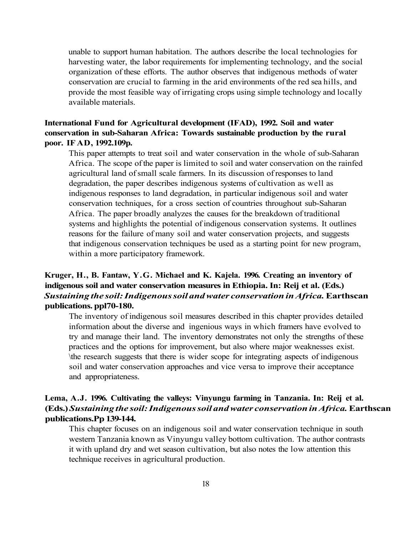unable to support human habitation. The authors describe the local technologies for harvesting water, the labor requirements for implementing technology, and the social organization of these efforts. The author observes that indigenous methods of water conservation are crucial to farming in the arid environments of the red sea hills, and provide the most feasible way of irrigating crops using simple technology and locally available materials.

### **International Fund for Agricultural development (IFAD), 1992. Soil and water conservation in sub-Saharan Africa: Towards sustainable production by the rural poor. IF AD, 1992.109p.**

This paper attempts to treat soil and water conservation in the whole of sub-Saharan Africa. The scope of the paper is limited to soil and water conservation on the rainfed agricultural land of small scale farmers. In its discussion of responses to land degradation, the paper describes indigenous systems of cultivation as well as indigenous responses to land degradation, in particular indigenous soil and water conservation techniques, for a cross section of countries throughout sub-Saharan Africa. The paper broadly analyzes the causes for the breakdown of traditional systems and highlights the potential of indigenous conservation systems. It outlines reasons for the failure of many soil and water conservation projects, and suggests that indigenous conservation techniques be used as a starting point for new program, within a more participatory framework.

# **Kruger, H., B. Fantaw, Y.G. Michael and K. Kajela. 1996. Creating an inventory of indigenous soil and water conservation measures in Ethiopia. In: Reij et al. (Eds.)**  *Sustaining the soil: Indigenous soil and water conservation in Africa.* **Earthscan publications. ppl70-180.**

The inventory of indigenous soil measures described in this chapter provides detailed information about the diverse and ingenious ways in which framers have evolved to try and manage their land. The inventory demonstrates not only the strengths of these practices and the options for improvement, but also where major weaknesses exist. \the research suggests that there is wider scope for integrating aspects of indigenous soil and water conservation approaches and vice versa to improve their acceptance and appropriateness.

# **Lema, A.J. 1996. Cultivating the valleys: Vinyungu farming in Tanzania. In: Reij et al. (Eds.)** *Sustaining the soil: Indigenous soil and water conservation in Africa.* **Earthscan publications.Pp 139-144.**

This chapter focuses on an indigenous soil and water conservation technique in south western Tanzania known as Vinyungu valley bottom cultivation. The author contrasts it with upland dry and wet season cultivation, but also notes the low attention this technique receives in agricultural production.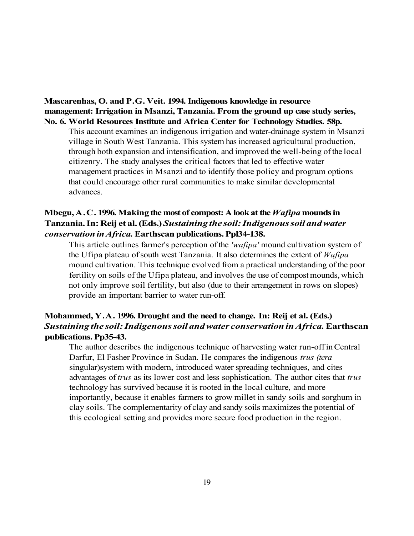### **Mascarenhas, O. and P.G. Veit. 1994. Indigenous knowledge in resource management: Irrigation in Msanzi, Tanzania. From the ground up case study series, No. 6. World Resources Institute and Africa Center for Technology Studies. 58p.**

This account examines an indigenous irrigation and water-drainage system in Msanzi village in South West Tanzania. This system has increased agricultural production, through both expansion and intensification, and improved the well-being of the local citizenry. The study analyses the critical factors that led to effective water management practices in Msanzi and to identify those policy and program options that could encourage other rural communities to make similar developmental advances.

# **Mbegu, A.C. 1996. Making the most of compost: A look at the** *Wafipa* **mounds in Tanzania. In: Reij et al. (Eds.)** *Sustaining the soil: Indigenous soil and water conservation in Africa.* **Earthscan publications. Ppl34-138.**

This article outlines farmer's perception of the *'wafipa'* mound cultivation system of the Ufipa plateau of south west Tanzania. It also determines the extent of *Wafipa*  mound cultivation. This technique evolved from a practical understanding of the poor fertility on soils of the Ufipa plateau, and involves the use of compost mounds, which not only improve soil fertility, but also (due to their arrangement in rows on slopes) provide an important barrier to water run-off.

# **Mohammed, Y.A. 1996. Drought and the need to change. In: Reij et al. (Eds.)**  *Sustaining the soil: Indigenous soil and water conservation in Africa.* **Earthscan publications. Pp35-43.**

The author describes the indigenous technique of harvesting water run-off in Central Darfur, El Fasher Province in Sudan. He compares the indigenous *trus (tera*  singular)system with modern, introduced water spreading techniques, and cites advantages of *trus* as its lower cost and less sophistication. The author cites that *trus*  technology has survived because it is rooted in the local culture, and more importantly, because it enables farmers to grow millet in sandy soils and sorghum in clay soils. The complementarity of clay and sandy soils maximizes the potential of this ecological setting and provides more secure food production in the region.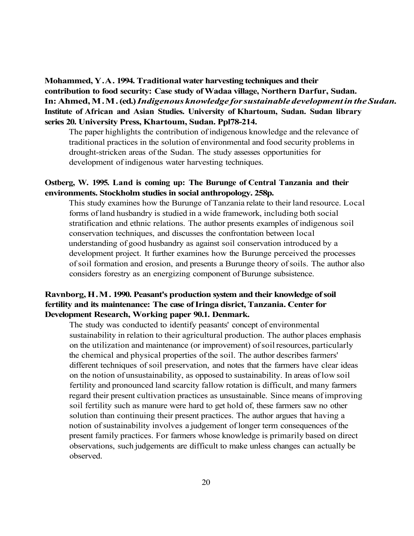**Mohammed, Y.A. 1994. Traditional water harvesting techniques and their contribution to food security: Case study of Wadaa village, Northern Darfur, Sudan. In: Ahmed, M.M. (ed.)** *Indigenous knowledge for sustainable development in the Sudan.*  **Institute of African and Asian Studies. University of Khartoum, Sudan. Sudan library series 20. University Press, Khartoum, Sudan. Ppl78-214.** 

The paper highlights the contribution of indigenous knowledge and the relevance of traditional practices in the solution of environmental and food security problems in drought-stricken areas of the Sudan. The study assesses opportunities for development of indigenous water harvesting techniques.

#### **Ostberg, W. 1995. Land is coming up: The Burunge of Central Tanzania and their environments. Stockholm studies in social anthropology. 258p.**

This study examines how the Burunge of Tanzania relate to their land resource. Local forms of land husbandry is studied in a wide framework, including both social stratification and ethnic relations. The author presents examples of indigenous soil conservation techniques, and discusses the confrontation between local understanding of good husbandry as against soil conservation introduced by a development project. It further examines how the Burunge perceived the processes of soil formation and erosion, and presents a Burunge theory of soils. The author also considers forestry as an energizing component of Burunge subsistence.

# **Ravnborg, H.M. 1990. Peasant's production system and their knowledge of soil fertility and its maintenance: The case of Iringa disrict, Tanzania. Center for Development Research, Working paper 90.1. Denmark.**

The study was conducted to identify peasants' concept of environmental sustainability in relation to their agricultural production. The author places emphasis on the utilization and maintenance (or improvement) of soil resources, particularly the chemical and physical properties of the soil. The author describes farmers' different techniques of soil preservation, and notes that the farmers have clear ideas on the notion of unsustainability, as opposed to sustainability. In areas of low soil fertility and pronounced land scarcity fallow rotation is difficult, and many farmers regard their present cultivation practices as unsustainable. Since means of improving soil fertility such as manure were hard to get hold of, these farmers saw no other solution than continuing their present practices. The author argues that having a notion of sustainability involves a judgement of longer term consequences of the present family practices. For farmers whose knowledge is primarily based on direct observations, such judgements are difficult to make unless changes can actually be observed.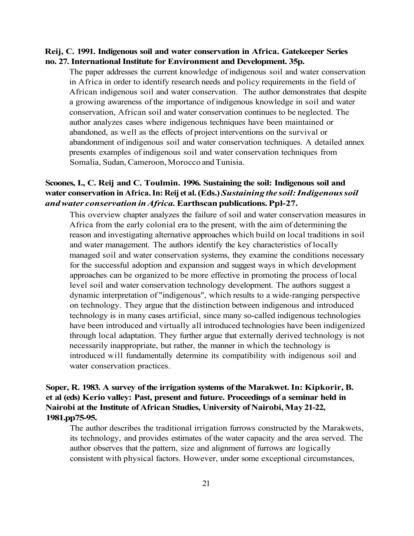#### **Reij, C. 1991. Indigenous soil and water conservation in Africa. Gatekeeper Series no. 27. International Institute for Environment and Development. 35p.**

The paper addresses the current knowledge of indigenous soil and water conservation in Africa in order to identify research needs and policy requirements in the field of African indigenous soil and water conservation. The author demonstrates that despite a growing awareness of the importance of indigenous knowledge in soil and water conservation, African soil and water conservation continues to be neglected. The author analyzes cases where indigenous techniques have been maintained or abandoned, as well as the effects of project interventions on the survival or abandonment of indigenous soil and water conservation techniques. A detailed annex presents examples of indigenous soil and water conservation techniques from Somalia, Sudan, Cameroon, Morocco and Tunisia.

# **Scoones, I., C. Reij and C. Toulmin. 1996. Sustaining the soil: Indigenous soil and water conservation in Africa. In: Reij et al. (Eds.)** *Sustaining the soil: Indigenous soil and water conservation in Africa.* **Earthscan publications. Ppl-27.**

This overview chapter analyzes the failure of soil and water conservation measures in Africa from the early colonial era to the present, with the aim of determining the reason and investigating alternative approaches which build on local traditions in soil and water management. The authors identify the key characteristics of locally managed soil and water conservation systems, they examine the conditions necessary for the successful adoption and expansion and suggest ways in which development approaches can be organized to be more effective in promoting the process of local level soil and water conservation technology development. The authors suggest a dynamic interpretation of "indigenous", which results to a wide-ranging perspective on technology. They argue that the distinction between indigenous and introduced technology is in many cases artificial, since many so-called indigenous technologies have been introduced and virtually all introduced technologies have been indigenized through local adaptation. They further argue that externally derived technology is not necessarily inappropriate, but rather, the manner in which the technology is introduced will fundamentally determine its compatibility with indigenous soil and water conservation practices.

# **Soper, R. 1983. A survey of the irrigation systems of the Marakwet. In: Kipkorir, B. et al (eds) Kerio valley: Past, present and future. Proceedings of a seminar held in Nairobi at the Institute of African Studies, University of Nairobi, May 21-22, 1981.pp75-95.**

The author describes the traditional irrigation furrows constructed by the Marakwets, its technology, and provides estimates of the water capacity and the area served. The author observes that the pattern, size and alignment of furrows are logically consistent with physical factors. However, under some exceptional circumstances,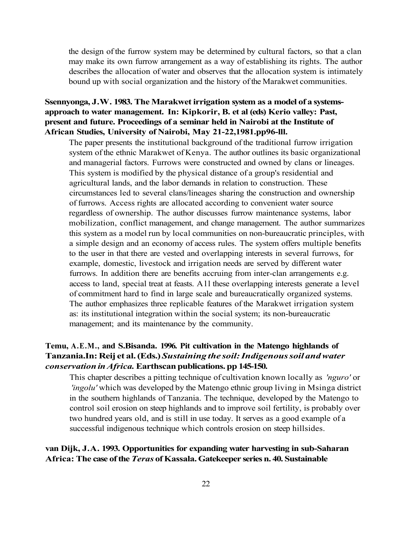the design of the furrow system may be determined by cultural factors, so that a clan may make its own furrow arrangement as a way of establishing its rights. The author describes the allocation of water and observes that the allocation system is intimately bound up with social organization and the history of the Marakwet communities.

# **Ssennyonga, J.W. 1983. The Marakwet irrigation system as a model of a systemsapproach to water management. In: Kipkorir, B. et al (eds) Kerio valley: Past, present and future. Proceedings of a seminar held in Nairobi at the Institute of African Studies, University of Nairobi, May 21-22,1981.pp96-lll.**

The paper presents the institutional background of the traditional furrow irrigation system of the ethnic Marakwet of Kenya. The author outlines its basic organizational and managerial factors. Furrows were constructed and owned by clans or lineages. This system is modified by the physical distance of a group's residential and agricultural lands, and the labor demands in relation to construction. These circumstances led to several clans/lineages sharing the construction and ownership of furrows. Access rights are allocated according to convenient water source regardless of ownership. The author discusses furrow maintenance systems, labor mobilization, conflict management, and change management. The author summarizes this system as a model run by local communities on non-bureaucratic principles, with a simple design and an economy of access rules. The system offers multiple benefits to the user in that there are vested and overlapping interests in several furrows, for example, domestic, livestock and irrigation needs are served by different water furrows. In addition there are benefits accruing from inter-clan arrangements e.g. access to land, special treat at feasts. Al l these overlapping interests generate a level of commitment hard to find in large scale and bureaucratically organized systems. The author emphasizes three replicable features of the Marakwet irrigation system as: its institutional integration within the social system; its non-bureaucratic management; and its maintenance by the community.

# **Temu, A.E.M., and S.Bisanda. 1996. Pit cultivation in the Matengo highlands of Tanzania.In: Reij et al. (Eds.)** *Sustaining the soil: Indigenous soil and water conservation in Africa.* **Earthscan publications. pp 145-150.**

This chapter describes a pitting technique of cultivation known locally as *'nguro'* or *'ingolu'* which was developed by the Matengo ethnic group living in Msinga district in the southern highlands of Tanzania. The technique, developed by the Matengo to control soil erosion on steep highlands and to improve soil fertility, is probably over two hundred years old, and is still in use today. It serves as a good example of a successful indigenous technique which controls erosion on steep hillsides.

#### **van Dijk, J.A. 1993. Opportunities for expanding water harvesting in sub-Saharan Africa: The case of the** *Teras* **of Kassala. Gatekeeper series n. 40. Sustainable**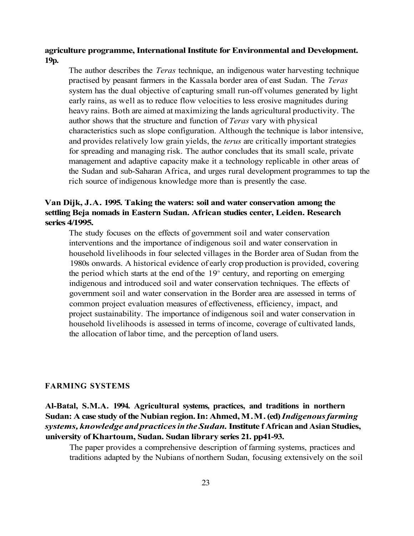#### **agriculture programme, International Institute for Environmental and Development. 19p.**

The author describes the *Teras* technique, an indigenous water harvesting technique practised by peasant farmers in the Kassala border area of east Sudan. The *Teras*  system has the dual objective of capturing small run-off volumes generated by light early rains, as well as to reduce flow velocities to less erosive magnitudes during heavy rains. Both are aimed at maximizing the lands agricultural productivity. The author shows that the structure and function of *Teras* vary with physical characteristics such as slope configuration. Although the technique is labor intensive, and provides relatively low grain yields, the *terus* are critically important strategies for spreading and managing risk. The author concludes that its small scale, private management and adaptive capacity make it a technology replicable in other areas of the Sudan and sub-Saharan Africa, and urges rural development programmes to tap the rich source of indigenous knowledge more than is presently the case.

# **Van Dijk, J.A. 1995. Taking the waters: soil and water conservation among the settling Beja nomads in Eastern Sudan. African studies center, Leiden. Research series 4/1995.**

The study focuses on the effects of government soil and water conservation interventions and the importance of indigenous soil and water conservation in household livelihoods in four selected villages in the Border area of Sudan from the 1980s onwards. A historical evidence of early crop production is provided, covering the period which starts at the end of the  $19<sup>th</sup>$  century, and reporting on emerging indigenous and introduced soil and water conservation techniques. The effects of government soil and water conservation in the Border area are assessed in terms of common project evaluation measures of effectiveness, efficiency, impact, and project sustainability. The importance of indigenous soil and water conservation in household livelihoods is assessed in terms of income, coverage of cultivated lands, the allocation of labor time, and the perception of land users.

#### **FARMING SYSTEMS**

# **Al-Batal, S.M.A. 1994. Agricultural systems, practices, and traditions in northern Sudan: A case study of the Nubian region. In: Ahmed, M.M. (ed)** *Indigenous farming systems, knowledge and practices in the Sudan.* **Institute f African and Asian Studies, university of Khartoum, Sudan. Sudan library series 21. pp41-93.**

The paper provides a comprehensive description of farming systems, practices and traditions adapted by the Nubians of northern Sudan, focusing extensively on the soil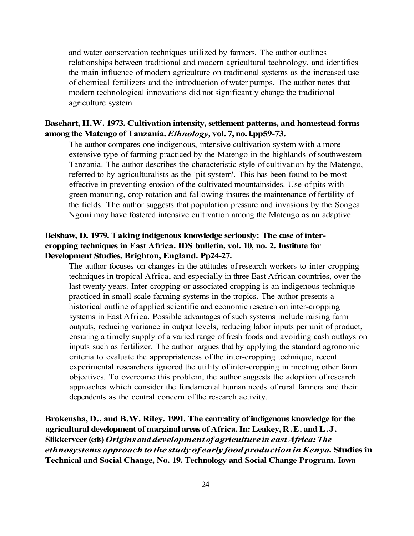and water conservation techniques utilized by farmers. The author outlines relationships between traditional and modern agricultural technology, and identifies the main influence of modern agriculture on traditional systems as the increased use of chemical fertilizers and the introduction of water pumps. The author notes that modern technological innovations did not significantly change the traditional agriculture system.

#### **Basehart, H.W. 1973. Cultivation intensity, settlement patterns, and homestead forms among the Matengo of Tanzania.** *Ethnology,* **vol. 7, no. l.pp59-73.**

The author compares one indigenous, intensive cultivation system with a more extensive type of farming practiced by the Matengo in the highlands of southwestern Tanzania. The author describes the characteristic style of cultivation by the Matengo, referred to by agriculturalists as the 'pit system'. This has been found to be most effective in preventing erosion of the cultivated mountainsides. Use of pits with green manuring, crop rotation and fallowing insures the maintenance of fertility of the fields. The author suggests that population pressure and invasions by the Songea Ngoni may have fostered intensive cultivation among the Matengo as an adaptive

### **Belshaw, D. 1979. Taking indigenous knowledge seriously: The case of intercropping techniques in East Africa. IDS bulletin, vol. 10, no. 2. Institute for Development Studies, Brighton, England. Pp24-27.**

The author focuses on changes in the attitudes of research workers to inter-cropping techniques in tropical Africa, and especially in three East African countries, over the last twenty years. Inter-cropping or associated cropping is an indigenous technique practiced in small scale farming systems in the tropics. The author presents a historical outline of applied scientific and economic research on inter-cropping systems in East Africa. Possible advantages of such systems include raising farm outputs, reducing variance in output levels, reducing labor inputs per unit of product, ensuring a timely supply of a varied range of fresh foods and avoiding cash outlays on inputs such as fertilizer. The author argues that by applying the standard agronomic criteria to evaluate the appropriateness of the inter-cropping technique, recent experimental researchers ignored the utility of inter-cropping in meeting other farm objectives. To overcome this problem, the author suggests the adoption of research approaches which consider the fundamental human needs of rural farmers and their dependents as the central concern of the research activity.

**Brokensha, D., and B.W. Riley. 1991. The centrality of indigenous knowledge for the agricultural development of marginal areas of Africa. In: Leakey, R.E. and L.J. Slikkerveer (eds)** *Origins and development of agriculture in east Africa: The ethnosystems approach to the study of early food production in Kenya.* **Studies in Technical and Social Change, No. 19. Technology and Social Change Program. Iowa**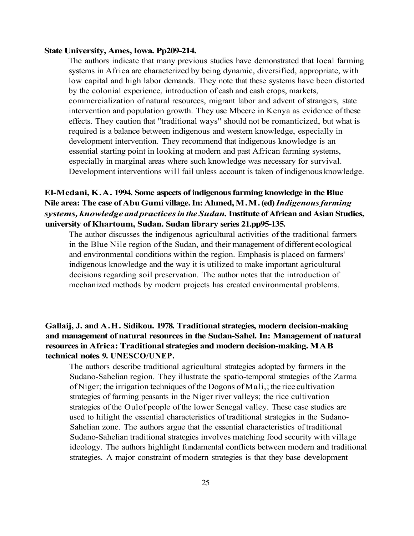#### **State University, Ames, Iowa. Pp209-214.**

The authors indicate that many previous studies have demonstrated that local farming systems in Africa are characterized by being dynamic, diversified, appropriate, with low capital and high labor demands. They note that these systems have been distorted by the colonial experience, introduction of cash and cash crops, markets, commercialization of natural resources, migrant labor and advent of strangers, state intervention and population growth. They use Mbeere in Kenya as evidence of these effects. They caution that "traditional ways" should not be romanticized, but what is required is a balance between indigenous and western knowledge, especially in development intervention. They recommend that indigenous knowledge is an essential starting point in looking at modern and past African farming systems, especially in marginal areas where such knowledge was necessary for survival. Development interventions will fail unless account is taken of indigenous knowledge.

# **El-Medani, K.A. 1994. Some aspects of indigenous farming knowledge in the Blue Nile area: The case of Abu Gumi village. In: Ahmed, M.M. (ed)** *Indigenous farming systems, knowledge and practices in the Sudan.* **Institute of African and Asian Studies, university of Khartoum, Sudan. Sudan library series 21.pp95-135.**

The author discusses the indigenous agricultural activities of the traditional farmers in the Blue Nile region of the Sudan, and their management of different ecological and environmental conditions within the region. Emphasis is placed on farmers' indigenous knowledge and the way it is utilized to make important agricultural decisions regarding soil preservation. The author notes that the introduction of mechanized methods by modern projects has created environmental problems.

# **Gallaij, J. and A.H. Sidikou. 1978. Traditional strategies, modern decision-making and management of natural resources in the Sudan-Sahel. In: Management of natural resources in Africa: Traditional strategies and modern decision-making. MAB technical notes 9. UNESCO/UNEP.**

The authors describe traditional agricultural strategies adopted by farmers in the Sudano-Sahelian region. They illustrate the spatio-temporal strategies of the Zarma of Niger; the irrigation techniques of the Dogons of Mali,; the rice cultivation strategies of farming peasants in the Niger river valleys; the rice cultivation strategies of the Oulof people of the lower Senegal valley. These case studies are used to hilight the essential characteristics of traditional strategies in the Sudano-Sahelian zone. The authors argue that the essential characteristics of traditional Sudano-Sahelian traditional strategies involves matching food security with village ideology. The authors highlight fundamental conflicts between modern and traditional strategies. A major constraint of modern strategies is that they base development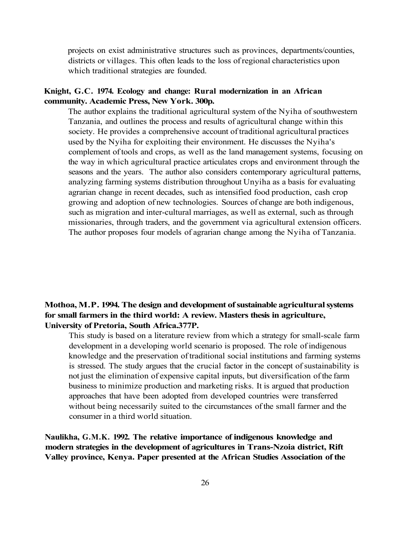projects on exist administrative structures such as provinces, departments/counties, districts or villages. This often leads to the loss of regional characteristics upon which traditional strategies are founded.

#### **Knight, G.C. 1974. Ecology and change: Rural modernization in an African community. Academic Press, New York. 300p.**

The author explains the traditional agricultural system of the Nyiha of southwestern Tanzania, and outlines the process and results of agricultural change within this society. He provides a comprehensive account of traditional agricultural practices used by the Nyiha for exploiting their environment. He discusses the Nyiha's complement of tools and crops, as well as the land management systems, focusing on the way in which agricultural practice articulates crops and environment through the seasons and the years. The author also considers contemporary agricultural patterns, analyzing farming systems distribution throughout Unyiha as a basis for evaluating agrarian change in recent decades, such as intensified food production, cash crop growing and adoption of new technologies. Sources of change are both indigenous, such as migration and inter-cultural marriages, as well as external, such as through missionaries, through traders, and the government via agricultural extension officers. The author proposes four models of agrarian change among the Nyiha of Tanzania.

## **Mothoa, M.P. 1994. The design and development of sustainable agricultural systems for small farmers in the third world: A review. Masters thesis in agriculture, University of Pretoria, South Africa.377P.**

This study is based on a literature review from which a strategy for small-scale farm development in a developing world scenario is proposed. The role of indigenous knowledge and the preservation of traditional social institutions and farming systems is stressed. The study argues that the crucial factor in the concept of sustainability is not just the elimination of expensive capital inputs, but diversification of the farm business to minimize production and marketing risks. It is argued that production approaches that have been adopted from developed countries were transferred without being necessarily suited to the circumstances of the small farmer and the consumer in a third world situation.

**Naulikha, G.M.K. 1992. The relative importance of indigenous knowledge and modern strategies in the development of agricultures in Trans-Nzoia district, Rift Valley province, Kenya. Paper presented at the African Studies Association of the**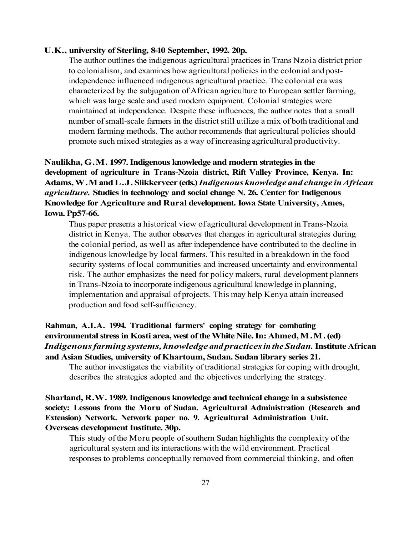#### **U.K., university of Sterling, 8-10 September, 1992. 20p.**

The author outlines the indigenous agricultural practices in Trans Nzoia district prior to colonialism, and examines how agricultural policies in the colonial and postindependence influenced indigenous agricultural practice. The colonial era was characterized by the subjugation of African agriculture to European settler farming, which was large scale and used modern equipment. Colonial strategies were maintained at independence. Despite these influences, the author notes that a small number of small-scale farmers in the district still utilize a mix of both traditional and modern farming methods. The author recommends that agricultural policies should promote such mixed strategies as a way of increasing agricultural productivity.

# **Naulikha, G.M. 1997. Indigenous knowledge and modern strategies in the development of agriculture in Trans-Nzoia district, Rift Valley Province, Kenya. In: Adams, W.M and L.J. Slikkerveer (eds.)** *Indigenous knowledge and change in African agriculture.* **Studies in technology and social change N. 26. Center for Indigenous Knowledge for Agriculture and Rural development. Iowa State University, Ames, Iowa. Pp57-66.**

Thus paper presents a historical view of agricultural development in Trans-Nzoia district in Kenya. The author observes that changes in agricultural strategies during the colonial period, as well as after independence have contributed to the decline in indigenous knowledge by local farmers. This resulted in a breakdown in the food security systems of local communities and increased uncertainty and environmental risk. The author emphasizes the need for policy makers, rural development planners in Trans-Nzoia to incorporate indigenous agricultural knowledge in planning, implementation and appraisal of projects. This may help Kenya attain increased production and food self-sufficiency.

# **Rahman, A.I.A. 1994. Traditional farmers' coping strategy for combating environmental stress in Kosti area, west of the White Nile. In: Ahmed, M.M. (ed)**  *Indigenous farming systems, knowledge and practices in the Sudan.* **Institute African and Asian Studies, university of Khartoum, Sudan. Sudan library series 21.**

The author investigates the viability of traditional strategies for coping with drought, describes the strategies adopted and the objectives underlying the strategy.

# **Sharland, R.W. 1989. Indigenous knowledge and technical change in a subsistence society: Lessons from the Moru of Sudan. Agricultural Administration (Research and Extension) Network. Network paper no. 9. Agricultural Administration Unit. Overseas development Institute. 30p.**

This study of the Moru people of southern Sudan highlights the complexity of the agricultural system and its interactions with the wild environment. Practical responses to problems conceptually removed from commercial thinking, and often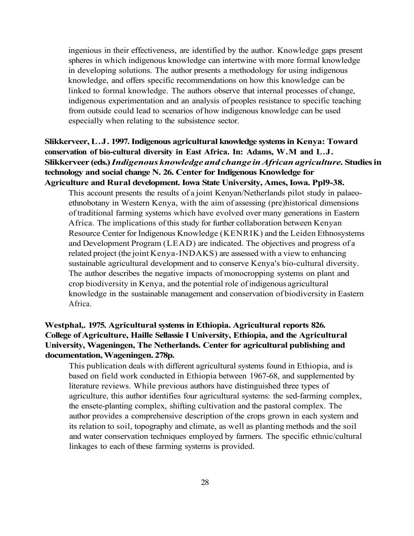ingenious in their effectiveness, are identified by the author. Knowledge gaps present spheres in which indigenous knowledge can intertwine with more formal knowledge in developing solutions. The author presents a methodology for using indigenous knowledge, and offers specific recommendations on how this knowledge can be linked to formal knowledge. The authors observe that internal processes of change, indigenous experimentation and an analysis of peoples resistance to specific teaching from outside could lead to scenarios of how indigenous knowledge can be used especially when relating to the subsistence sector.

# **Slikkerveer, L.J. 1997. Indigenous agricultural knowledge systems in Kenya: Toward conservation of bio-cultural diversity in East Africa. In: Adams, W.M and L.J. Slikkerveer (eds.)** *Indigenous knowledge and change in African agriculture.* **Studies in technology and social change N. 26. Center for Indigenous Knowledge for Agriculture and Rural development. Iowa State University, Ames, Iowa. Ppl9-38.**

This account presents the results of a joint Kenyan/Netherlands pilot study in palaeoethnobotany in Western Kenya, with the aim of assessing (pre)historical dimensions of traditional farming systems which have evolved over many generations in Eastern Africa. The implications of this study for further collaboration between Kenyan Resource Center for Indigenous Knowledge (KENRIK) and the Leiden Ethnosystems and Development Program (LEAD) are indicated. The objectives and progress of a related project (the joint Kenya-INDAKS) are assessed with a view to enhancing sustainable agricultural development and to conserve Kenya's bio-cultural diversity. The author describes the negative impacts of monocropping systems on plant and crop biodiversity in Kenya, and the potential role of indigenous agricultural knowledge in the sustainable management and conservation of biodiversity in Eastern Africa.

# **Westphal,. 1975. Agricultural systems in Ethiopia. Agricultural reports 826. College of Agriculture, Haille Sellassie I University, Ethiopia, and the Agricultural University, Wageningen, The Netherlands. Center for agricultural publishing and documentation, Wageningen. 278p.**

This publication deals with different agricultural systems found in Ethiopia, and is based on field work conducted in Ethiopia between 1967-68, and supplemented by literature reviews. While previous authors have distinguished three types of agriculture, this author identifies four agricultural systems: the sed-farming complex, the ensete-planting complex, shifting cultivation and the pastoral complex. The author provides a comprehensive description of the crops grown in each system and its relation to soil, topography and climate, as well as planting methods and the soil and water conservation techniques employed by farmers. The specific ethnic/cultural linkages to each of these farming systems is provided.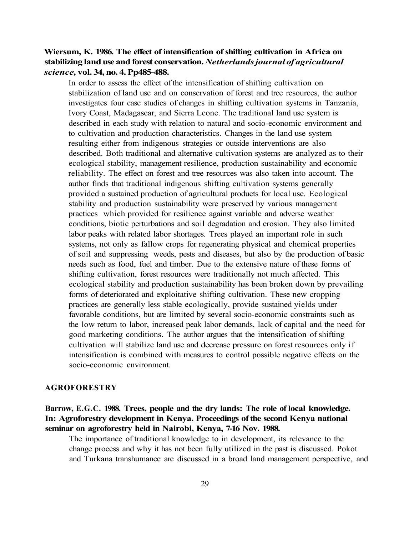# **Wiersum, K. 1986. The effect of intensification of shifting cultivation in Africa on stabilizing land use and forest conservation.** *Netherlands journal of agricultural science,* **vol. 34, no. 4. Pp485-488.**

In order to assess the effect of the intensification of shifting cultivation on stabilization of land use and on conservation of forest and tree resources, the author investigates four case studies of changes in shifting cultivation systems in Tanzania, Ivory Coast, Madagascar, and Sierra Leone. The traditional land use system is described in each study with relation to natural and socio-economic environment and to cultivation and production characteristics. Changes in the land use system resulting either from indigenous strategies or outside interventions are also described. Both traditional and alternative cultivation systems are analyzed as to their ecological stability, management resilience, production sustainability and economic reliability. The effect on forest and tree resources was also taken into account. The author finds that traditional indigenous shifting cultivation systems generally provided a sustained production of agricultural products for local use. Ecological stability and production sustainability were preserved by various management practices which provided for resilience against variable and adverse weather conditions, biotic perturbations and soil degradation and erosion. They also limited labor peaks with related labor shortages. Trees played an important role in such systems, not only as fallow crops for regenerating physical and chemical properties of soil and suppressing weeds, pests and diseases, but also by the production of basic needs such as food, fuel and timber. Due to the extensive nature of these forms of shifting cultivation, forest resources were traditionally not much affected. This ecological stability and production sustainability has been broken down by prevailing forms of deteriorated and exploitative shifting cultivation. These new cropping practices are generally less stable ecologically, provide sustained yields under favorable conditions, but are limited by several socio-economic constraints such as the low return to labor, increased peak labor demands, lack of capital and the need for good marketing conditions. The author argues that the intensification of shifting cultivation will stabilize land use and decrease pressure on forest resources only if intensification is combined with measures to control possible negative effects on the socio-economic environment.

#### **AGROFORESTRY**

# **Barrow, E.G.C. 1988. Trees, people and the dry lands: The role of local knowledge. In: Agroforestry development in Kenya. Proceedings of the second Kenya national seminar on agroforestry held in Nairobi, Kenya, 7-16 Nov. 1988.**

The importance of traditional knowledge to in development, its relevance to the change process and why it has not been fully utilized in the past is discussed. Pokot and Turkana transhumance are discussed in a broad land management perspective, and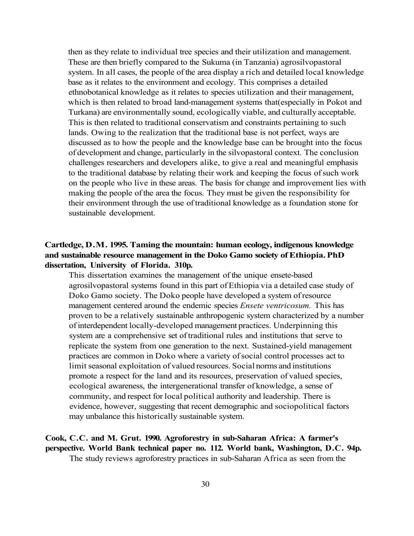then as they relate to individual tree species and their utilization and management. These are then briefly compared to the Sukuma (in Tanzania) agrosilvopastoral system. In all cases, the people of the area display a rich and detailed local knowledge base as it relates to the environment and ecology. This comprises a detailed ethnobotanical knowledge as it relates to species utilization and their management, which is then related to broad land-management systems that(especially in Pokot and Turkana) are environmentally sound, ecologically viable, and culturally acceptable. This is then related to traditional conservatism and constraints pertaining to such lands. Owing to the realization that the traditional base is not perfect, ways are discussed as to how the people and the knowledge base can be brought into the focus of development and change, particularly in the silvopastoral context. The conclusion challenges researchers and developers alike, to give a real and meaningful emphasis to the traditional database by relating their work and keeping the focus of such work on the people who live in these areas. The basis for change and improvement lies with making the people of the area the focus. They must be given the responsibility for their environment through the use of traditional knowledge as a foundation stone for sustainable development.

### **Cartledge, D.M. 1995. Taming the mountain: human ecology, indigenous knowledge and sustainable resource management in the Doko Gamo society of Ethiopia. PhD dissertation, University of Florida. 310p.**

This dissertation examines the management of the unique ensete-based agrosilvopastoral systems found in this part of Ethiopia via a detailed case study of Doko Gamo society. The Doko people have developed a system of resource management centered around the endemic species *Ensete ventricosum.* This has proven to be a relatively sustainable anthropogenic system characterized by a number of interdependent locally-developed management practices. Underpinning this system are a comprehensive set of traditional rules and institutions that serve to replicate the system from one generation to the next. Sustained-yield management practices are common in Doko where a variety of social control processes act to limit seasonal exploitation of valued resources. Social norms and institutions promote a respect for the land and its resources, preservation of valued species, ecological awareness, the intergenerational transfer of knowledge, a sense of community, and respect for local political authority and leadership. There is evidence, however, suggesting that recent demographic and sociopolitical factors may unbalance this historically sustainable system.

# **Cook, C.C. and M. Grut. 1990. Agroforestry in sub-Saharan Africa: A farmer's perspective. World Bank technical paper no. 112. World bank, Washington, D.C. 94p.**

The study reviews agroforestry practices in sub-Saharan Africa as seen from the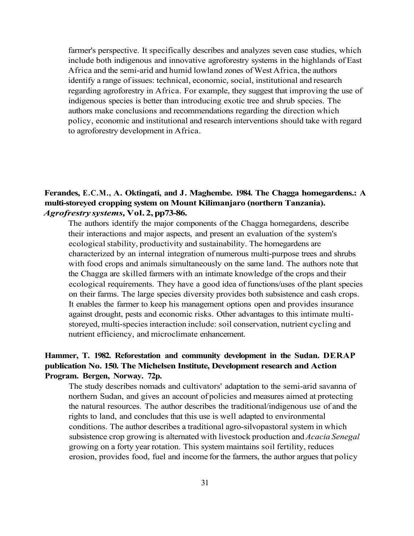farmer's perspective. It specifically describes and analyzes seven case studies, which include both indigenous and innovative agroforestry systems in the highlands of East Africa and the semi-arid and humid lowland zones of West Africa, the authors identify a range of issues: technical, economic, social, institutional and research regarding agroforestry in Africa. For example, they suggest that improving the use of indigenous species is better than introducing exotic tree and shrub species. The authors make conclusions and recommendations regarding the direction which policy, economic and institutional and research interventions should take with regard to agroforestry development in Africa.

### **Ferandes, E.C.M., A. Oktingati, and J. Maghembe. 1984. The Chagga homegardens.: A multi-storeyed cropping system on Mount Kilimanjaro (northern Tanzania).**  *Agrofrestry systems,* **Vol. 2, pp73-86.**

The authors identify the major components of the Chagga homegardens, describe their interactions and major aspects, and present an evaluation of the system's ecological stability, productivity and sustainability. The homegardens are characterized by an internal integration of numerous multi-purpose trees and shrubs with food crops and animals simultaneously on the same land. The authors note that the Chagga are skilled farmers with an intimate knowledge of the crops and their ecological requirements. They have a good idea of functions/uses of the plant species on their farms. The large species diversity provides both subsistence and cash crops. It enables the farmer to keep his management options open and provides insurance against drought, pests and economic risks. Other advantages to this intimate multistoreyed, multi-species interaction include: soil conservation, nutrient cycling and nutrient efficiency, and microclimate enhancement.

# **Hammer, T. 1982. Reforestation and community development in the Sudan. DERAP publication No. 150. The Michelsen Institute, Development research and Action Program. Bergen, Norway. 72p.**

The study describes nomads and cultivators' adaptation to the semi-arid savanna of northern Sudan, and gives an account of policies and measures aimed at protecting the natural resources. The author describes the traditional/indigenous use of and the rights to land, and concludes that this use is well adapted to environmental conditions. The author describes a traditional agro-silvopastoral system in which subsistence crop growing is alternated with livestock production and *Acacia Senegal*  growing on a forty year rotation. This system maintains soil fertility, reduces erosion, provides food, fuel and income for the farmers, the author argues that policy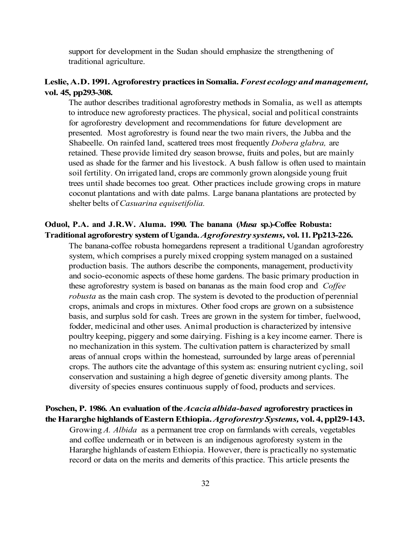support for development in the Sudan should emphasize the strengthening of traditional agriculture.

## **Leslie, A.D. 1991. Agroforestry practices in Somalia.** *Forest ecology and management,*  **vol. 45, pp293-308.**

The author describes traditional agroforestry methods in Somalia, as well as attempts to introduce new agroforesty practices. The physical, social and political constraints for agroforestry development and recommendations for future development are presented. Most agroforestry is found near the two main rivers, the Jubba and the Shabeelle. On rainfed land, scattered trees most frequently *Dobera glabra,* are retained. These provide limited dry season browse, fruits and poles, but are mainly used as shade for the farmer and his livestock. A bush fallow is often used to maintain soil fertility. On irrigated land, crops are commonly grown alongside young fruit trees until shade becomes too great. Other practices include growing crops in mature coconut plantations and with date palms. Large banana plantations are protected by shelter belts of *Casuarina equisetifolia.* 

# **Oduol, P.A. and J.R.W. Aluma. 1990. The banana (***Musa* **sp.)-Coffee Robusta: Traditional agroforestry system of Uganda.** *Agroforestry systems,* **vol. 11. Pp213-226.**

The banana-coffee robusta homegardens represent a traditional Ugandan agroforestry system, which comprises a purely mixed cropping system managed on a sustained production basis. The authors describe the components, management, productivity and socio-economic aspects of these home gardens. The basic primary production in these agroforestry system is based on bananas as the main food crop and *Coffee robusta* as the main cash crop. The system is devoted to the production of perennial crops, animals and crops in mixtures. Other food crops are grown on a subsistence basis, and surplus sold for cash. Trees are grown in the system for timber, fuelwood, fodder, medicinal and other uses. Animal production is characterized by intensive poultry keeping, piggery and some dairying. Fishing is a key income earner. There is no mechanization in this system. The cultivation pattern is characterized by small areas of annual crops within the homestead, surrounded by large areas of perennial crops. The authors cite the advantage of this system as: ensuring nutrient cycling, soil conservation and sustaining a high degree of genetic diversity among plants. The diversity of species ensures continuous supply of food, products and services.

# **Poschen, P. 1986. An evaluation of the** *Acacia albida-based* **agroforestry practices in the Hararghe highlands of Eastern Ethiopia.** *Agroforestry Systems,* **vol. 4, ppl29-143.**

Growing *A. Albida* as a permanent tree crop on farmlands with cereals, vegetables and coffee underneath or in between is an indigenous agroforesty system in the Hararghe highlands of eastern Ethiopia. However, there is practically no systematic record or data on the merits and demerits of this practice. This article presents the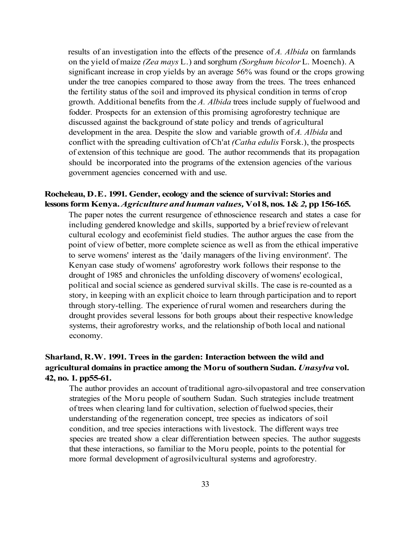results of an investigation into the effects of the presence of *A. Albida* on farmlands on the yield of maize *(Zea mays* L.) and sorghum *(Sorghum bicolor* L. Moench). A significant increase in crop yields by an average 56% was found or the crops growing under the tree canopies compared to those away from the trees. The trees enhanced the fertility status of the soil and improved its physical condition in terms of crop growth. Additional benefits from the *A. Albida* trees include supply of fuelwood and fodder. Prospects for an extension of this promising agroforestry technique are discussed against the background of state policy and trends of agricultural development in the area. Despite the slow and variable growth of *A. Albida* and conflict with the spreading cultivation of Ch'at *(Catha edulis* Forsk.), the prospects of extension of this technique are good. The author recommends that its propagation should be incorporated into the programs of the extension agencies of the various government agencies concerned with and use.

#### **Rocheleau, D.E. 1991. Gender, ecology and the science of survival: Stories and lessons form Kenya.** *Agriculture and human values,* **Vol 8, nos. 1&** *2,* **pp 156-165.**

The paper notes the current resurgence of ethnoscience research and states a case for including gendered knowledge and skills, supported by a brief review of relevant cultural ecology and ecofeminist field studies. The author argues the case from the point of view of better, more complete science as well as from the ethical imperative to serve womens' interest as the 'daily managers of the living environment'. The Kenyan case study of womens' agroforestry work follows their response to the drought of 1985 and chronicles the unfolding discovery of womens' ecological, political and social science as gendered survival skills. The case is re-counted as a story, in keeping with an explicit choice to learn through participation and to report through story-telling. The experience of rural women and researchers during the drought provides several lessons for both groups about their respective knowledge systems, their agroforestry works, and the relationship of both local and national economy.

# **Sharland, R.W. 1991. Trees in the garden: Interaction between the wild and agricultural domains in practice among the Moru of southern Sudan.** *Unasylva* **vol. 42, no. 1. pp55-61.**

The author provides an account of traditional agro-silvopastoral and tree conservation strategies of the Moru people of southern Sudan. Such strategies include treatment of trees when clearing land for cultivation, selection of fuelwod species, their understanding of the regeneration concept, tree species as indicators of soil condition, and tree species interactions with livestock. The different ways tree species are treated show a clear differentiation between species. The author suggests that these interactions, so familiar to the Moru people, points to the potential for more formal development of agrosilvicultural systems and agroforestry.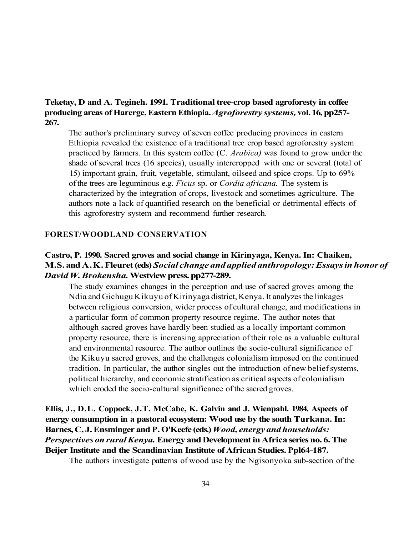# **Teketay, D and A. Tegineh. 1991. Traditional tree-crop based agroforesty in coffee producing areas of Harerge, Eastern Ethiopia.** *Agroforestry systems,* **vol. 16, pp257- 267.**

The author's preliminary survey of seven coffee producing provinces in eastern Ethiopia revealed the existence of a traditional tree crop based agroforestry system practiced by farmers. In this system coffee (C. *Arabica)* was found to grow under the shade of several trees (16 species), usually intercropped with one or several (total of 15) important grain, fruit, vegetable, stimulant, oilseed and spice crops. Up to 69% of the trees are leguminous e.g. *Ficus* sp. or *Cordia africana.* The system is characterized by the integration of crops, livestock and sometimes agriculture. The authors note a lack of quantified research on the beneficial or detrimental effects of this agroforestry system and recommend further research.

#### **FOREST/WOODLAND CONSERVATION**

# **Castro, P. 1990. Sacred groves and social change in Kirinyaga, Kenya. In: Chaiken, M.S. and A.K. Fleuret (eds)** *Social change and applied anthropology: Essays in honor of David W. Brokensha.* **Westview press. pp277-289.**

The study examines changes in the perception and use of sacred groves among the Ndia and Gichugu Kikuyu of Kirinyaga district, Kenya. It analyzes the linkages between religious conversion, wider process of cultural change, and modifications in a particular form of common property resource regime. The author notes that although sacred groves have hardly been studied as a locally important common property resource, there is increasing appreciation of their role as a valuable cultural and environmental resource. The author outlines the socio-cultural significance of the Kikuyu sacred groves, and the challenges colonialism imposed on the continued tradition. In particular, the author singles out the introduction of new belief systems, political hierarchy, and economic stratification as critical aspects of colonialism which eroded the socio-cultural significance of the sacred groves.

**Ellis, J., D.L. Coppock, J.T. McCabe, K. Galvin and J. Wienpahl. 1984. Aspects of energy consumption in a pastoral ecosystem: Wood use by the south Turkana. In: Barnes, C, J. Ensminger and P. O'Keefe (eds.)** *Wood, energy and households: Perspectives on rural Kenya.* **Energy and Development in Africa series no. 6. The Beijer Institute and the Scandinavian Institute of African Studies. Ppl64-187.** 

The authors investigate patterns of wood use by the Ngisonyoka sub-section of the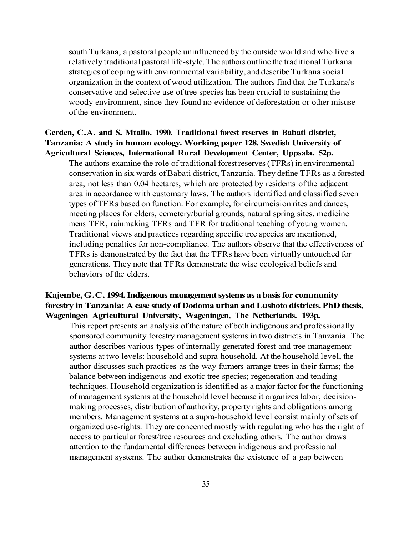south Turkana, a pastoral people uninfluenced by the outside world and who live a relatively traditional pastoral life-style. The authors outline the traditional Turkana strategies of coping with environmental variability, and describe Turkana social organization in the context of wood utilization. The authors find that the Turkana's conservative and selective use of tree species has been crucial to sustaining the woody environment, since they found no evidence of deforestation or other misuse of the environment.

#### **Gerden, C.A. and S. Mtallo. 1990. Traditional forest reserves in Babati district, Tanzania: A study in human ecology. Working paper 128. Swedish University of Agricultural Sciences, International Rural Development Center, Uppsala. 52p.**

The authors examine the role of traditional forest reserves (TFRs) in environmental conservation in six wards of Babati district, Tanzania. They define TFRs as a forested area, not less than 0.04 hectares, which are protected by residents of the adjacent area in accordance with customary laws. The authors identified and classified seven types of TFRs based on function. For example, for circumcision rites and dances, meeting places for elders, cemetery/burial grounds, natural spring sites, medicine mens TFR, rainmaking TFRs and TFR for traditional teaching of young women. Traditional views and practices regarding specific tree species are mentioned, including penalties for non-compliance. The authors observe that the effectiveness of TFRs is demonstrated by the fact that the TFRs have been virtually untouched for generations. They note that TFRs demonstrate the wise ecological beliefs and behaviors of the elders.

### **Kajembe, G.C. 1994. Indigenous management systems as a basis for community forestry in Tanzania: A case study of Dodoma urban and Lushoto districts. PhD thesis, Wageningen Agricultural University, Wageningen, The Netherlands. 193p.**

This report presents an analysis of the nature of both indigenous and professionally sponsored community forestry management systems in two districts in Tanzania. The author describes various types of internally generated forest and tree management systems at two levels: household and supra-household. At the household level, the author discusses such practices as the way farmers arrange trees in their farms; the balance between indigenous and exotic tree species; regeneration and tending techniques. Household organization is identified as a major factor for the functioning of management systems at the household level because it organizes labor, decisionmaking processes, distribution of authority, property rights and obligations among members. Management systems at a supra-household level consist mainly of sets of organized use-rights. They are concerned mostly with regulating who has the right of access to particular forest/tree resources and excluding others. The author draws attention to the fundamental differences between indigenous and professional management systems. The author demonstrates the existence of a gap between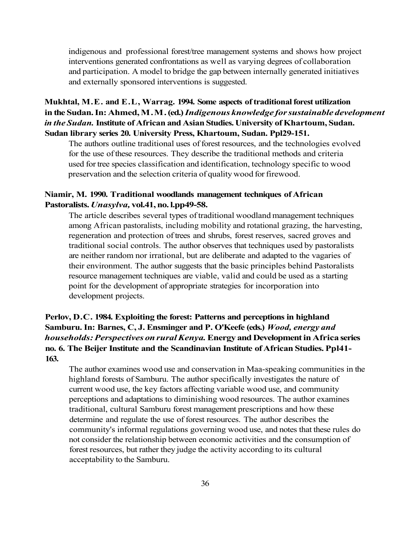indigenous and professional forest/tree management systems and shows how project interventions generated confrontations as well as varying degrees of collaboration and participation. A model to bridge the gap between internally generated initiatives and externally sponsored interventions is suggested.

# **Mukhtal, M.E. and E.L, Warrag. 1994. Some aspects of traditional forest utilization in the Sudan. In: Ahmed, M.M. (ed.)** *Indigenous knowledge for sustainable development in the Sudan.* **Institute of African and Asian Studies. University of Khartoum, Sudan. Sudan library series 20. University Press, Khartoum, Sudan. Ppl29-151.**

The authors outline traditional uses of forest resources, and the technologies evolved for the use of these resources. They describe the traditional methods and criteria used for tree species classification and identification, technology specific to wood preservation and the selection criteria of quality wood for firewood.

#### **Niamir, M. 1990. Traditional woodlands management techniques of African Pastoralists.** *Unasylva,* **vol.41, no. l.pp49-58.**

The article describes several types of traditional woodland management techniques among African pastoralists, including mobility and rotational grazing, the harvesting, regeneration and protection of trees and shrubs, forest reserves, sacred groves and traditional social controls. The author observes that techniques used by pastoralists are neither random nor irrational, but are deliberate and adapted to the vagaries of their environment. The author suggests that the basic principles behind Pastoralists resource management techniques are viable, valid and could be used as a starting point for the development of appropriate strategies for incorporation into development projects.

# **Perlov, D.C. 1984. Exploiting the forest: Patterns and perceptions in highland Samburu. In: Barnes, C, J. Ensminger and P. O'Keefe (eds.)** *Wood, energy and households: Perspectives on rural Kenya.* **Energy and Development in Africa series no. 6. The Beijer Institute and the Scandinavian Institute of African Studies. Ppl41- 163.**

The author examines wood use and conservation in Maa-speaking communities in the highland forests of Samburu. The author specifically investigates the nature of current wood use, the key factors affecting variable wood use, and community perceptions and adaptations to diminishing wood resources. The author examines traditional, cultural Samburu forest management prescriptions and how these determine and regulate the use of forest resources. The author describes the community's informal regulations governing wood use, and notes that these rules do not consider the relationship between economic activities and the consumption of forest resources, but rather they judge the activity according to its cultural acceptability to the Samburu.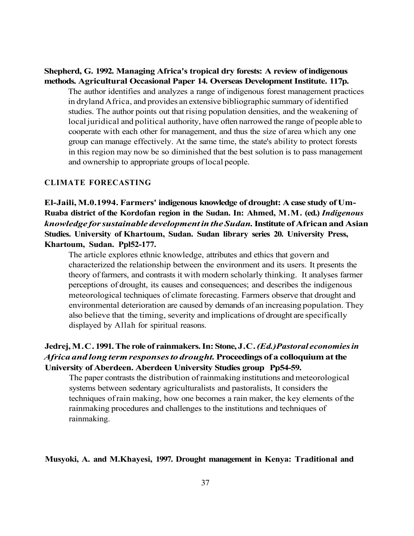**Shepherd, G. 1992. Managing Africa's tropical dry forests: A review of indigenous methods. Agricultural Occasional Paper 14. Overseas Development Institute. 117p.** 

The author identifies and analyzes a range of indigenous forest management practices in dryland Africa, and provides an extensive bibliographic summary of identified studies. The author points out that rising population densities, and the weakening of local juridical and political authority, have often narrowed the range of people able to cooperate with each other for management, and thus the size of area which any one group can manage effectively. At the same time, the state's ability to protect forests in this region may now be so diminished that the best solution is to pass management and ownership to appropriate groups of local people.

#### **CLIMATE FORECASTING**

**El-Jaili, M.0.1994. Farmers' indigenous knowledge of drought: A case study of Um-Ruaba district of the Kordofan region in the Sudan. In: Ahmed, M.M. (ed.)** *Indigenous knowledge for sustainable development in the Sudan.* **Institute of African and Asian Studies. University of Khartoum, Sudan. Sudan library series 20. University Press, Khartoum, Sudan. Ppl52-177.** 

The article explores ethnic knowledge, attributes and ethics that govern and characterized the relationship between the environment and its users. It presents the theory of farmers, and contrasts it with modern scholarly thinking. It analyses farmer perceptions of drought, its causes and consequences; and describes the indigenous meteorological techniques of climate forecasting. Farmers observe that drought and environmental deterioration are caused by demands of an increasing population. They also believe that the timing, severity and implications of drought are specifically displayed by Allah for spiritual reasons.

# **Jedrej, M.C. 1991. The role of rainmakers. In: Stone, J.C.** *(Ed.)Pastoral economies in Africa and long term responses to drought.* **Proceedings of a colloquium at the University of Aberdeen. Aberdeen University Studies group Pp54-59.**

The paper contrasts the distribution of rainmaking institutions and meteorological systems between sedentary agriculturalists and pastoralists, It considers the techniques of rain making, how one becomes a rain maker, the key elements of the rainmaking procedures and challenges to the institutions and techniques of rainmaking.

#### **Musyoki, A. and M.Khayesi, 1997. Drought management in Kenya: Traditional and**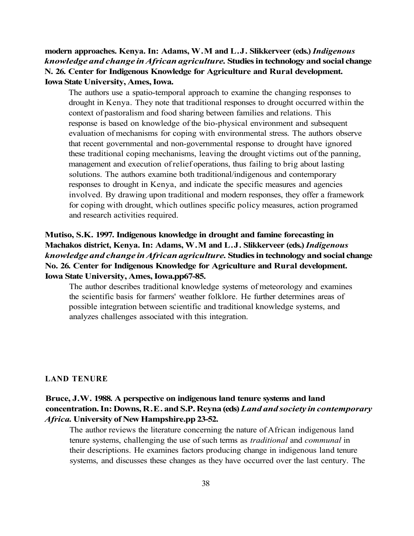**modern approaches. Kenya. In: Adams, W.M and L.J. Slikkerveer (eds.)** *Indigenous knowledge and change in African agriculture.* **Studies in technology and social change N. 26. Center for Indigenous Knowledge for Agriculture and Rural development. Iowa State University, Ames, Iowa.** 

The authors use a spatio-temporal approach to examine the changing responses to drought in Kenya. They note that traditional responses to drought occurred within the context of pastoralism and food sharing between families and relations. This response is based on knowledge of the bio-physical environment and subsequent evaluation of mechanisms for coping with environmental stress. The authors observe that recent governmental and non-governmental response to drought have ignored these traditional coping mechanisms, leaving the drought victims out of the panning, management and execution of relief operations, thus failing to brig about lasting solutions. The authors examine both traditional/indigenous and contemporary responses to drought in Kenya, and indicate the specific measures and agencies involved. By drawing upon traditional and modern responses, they offer a framework for coping with drought, which outlines specific policy measures, action programed and research activities required.

# **Mutiso, S.K. 1997. Indigenous knowledge in drought and famine forecasting in Machakos district, Kenya. In: Adams, W.M and L.J. Slikkerveer (eds.)** *Indigenous knowledge and change in African agriculture.* **Studies in technology and social change No. 26. Center for Indigenous Knowledge for Agriculture and Rural development. Iowa State University, Ames, Iowa.pp67-85.**

The author describes traditional knowledge systems of meteorology and examines the scientific basis for farmers' weather folklore. He further determines areas of possible integration between scientific and traditional knowledge systems, and analyzes challenges associated with this integration.

#### **LAND TENURE**

# **Bruce, J.W. 1988. A perspective on indigenous land tenure systems and land concentration. In: Downs, R.E. and S.P. Reyna (eds)** *Land and society in contemporary Africa.* **University of New Hampshire.pp 23-52.**

The author reviews the literature concerning the nature of African indigenous land tenure systems, challenging the use of such terms as *traditional* and *communal* in their descriptions. He examines factors producing change in indigenous land tenure systems, and discusses these changes as they have occurred over the last century. The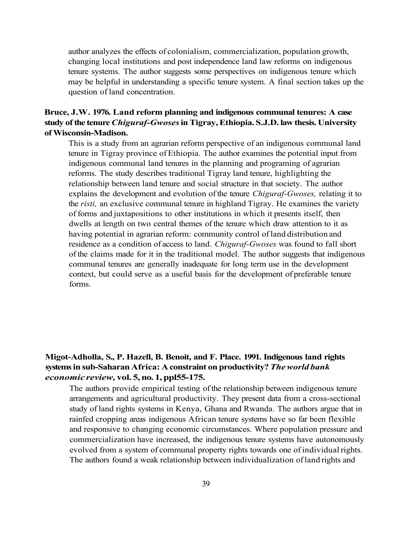author analyzes the effects of colonialism, commercialization, population growth, changing local institutions and post independence land law reforms on indigenous tenure systems. The author suggests some perspectives on indigenous tenure which may be helpful in understanding a specific tenure system. A final section takes up the question of land concentration.

# **Bruce, J.W. 1976. Land reform planning and indigenous communal tenures: A case study of the tenure** *Chiguraf-Gwoses* **in Tigray, Ethiopia. S.J.D. law thesis. University of Wisconsin-Madison.**

This is a study from an agrarian reform perspective of an indigenous communal land tenure in Tigray province of Ethiopia. The author examines the potential input from indigenous communal land tenures in the planning and programing of agrarian reforms. The study describes traditional Tigray land tenure, highlighting the relationship between land tenure and social structure in that society. The author explains the development and evolution of the tenure *Chiguraf-Gwoses,* relating it to the *risti,* an exclusive communal tenure in highland Tigray. He examines the variety of forms and juxtapositions to other institutions in which it presents itself, then dwells at length on two central themes of the tenure which draw attention to it as having potential in agrarian reform: community control of land distribution and residence as a condition of access to land. *Chiguraf-Gwoses* was found to fall short of the claims made for it in the traditional model. The author suggests that indigenous communal tenures are generally inadequate for long term use in the development context, but could serve as a useful basis for the development of preferable tenure forms.

# **Migot-Adholla, S., P. Hazell, B. Benoit, and F. Place. 1991. Indigenous land rights systems in sub-Saharan Africa: A constraint on productivity?** *The world bank economic review,* **vol. 5, no. 1, ppl55-175.**

The authors provide empirical testing of the relationship between indigenous tenure arrangements and agricultural productivity. They present data from a cross-sectional study of land rights systems in Kenya, Ghana and Rwanda. The authors argue that in rainfed cropping areas indigenous African tenure systems have so far been flexible and responsive to changing economic circumstances. Where population pressure and commercialization have increased, the indigenous tenure systems have autonomously evolved from a system of communal property rights towards one of individual rights. The authors found a weak relationship between individualization of land rights and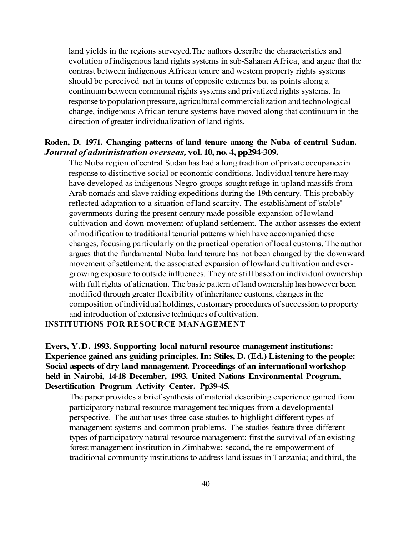land yields in the regions surveyed.The authors describe the characteristics and evolution of indigenous land rights systems in sub-Saharan Africa, and argue that the contrast between indigenous African tenure and western property rights systems should be perceived not in terms of opposite extremes but as points along a continuum between communal rights systems and privatized rights systems. In response to population pressure, agricultural commercialization and technological change, indigenous African tenure systems have moved along that continuum in the direction of greater individualization of land rights.

#### **Roden, D. 1971. Changing patterns of land tenure among the Nuba of central Sudan.**  *Journal of administration overseas,* **vol. 10, no. 4, pp294-309.**

The Nuba region of central Sudan has had a long tradition of private occupance in response to distinctive social or economic conditions. Individual tenure here may have developed as indigenous Negro groups sought refuge in upland massifs from Arab nomads and slave raiding expeditions during the 19th century. This probably reflected adaptation to a situation of land scarcity. The establishment of 'stable' governments during the present century made possible expansion of lowland cultivation and down-movement of upland settlement. The author assesses the extent of modification to traditional tenurial patterns which have accompanied these changes, focusing particularly on the practical operation of local customs. The author argues that the fundamental Nuba land tenure has not been changed by the downward movement of settlement, the associated expansion of lowland cultivation and evergrowing exposure to outside influences. They are still based on individual ownership with full rights of alienation. The basic pattern of land ownership has however been modified through greater flexibility of inheritance customs, changes in the composition of individual holdings, customary procedures of succession to property and introduction of extensive techniques of cultivation.

#### **INSTITUTIONS FOR RESOURCE MANAGEMENT**

**Evers, Y.D. 1993. Supporting local natural resource management institutions: Experience gained ans guiding principles. In: Stiles, D. (Ed.) Listening to the people: Social aspects of dry land management. Proceedings of an international workshop held in Nairobi, 14-18 December, 1993. United Nations Environmental Program, Desertification Program Activity Center. Pp39-45.** 

The paper provides a brief synthesis of material describing experience gained from participatory natural resource management techniques from a developmental perspective. The author uses three case studies to highlight different types of management systems and common problems. The studies feature three different types of participatory natural resource management: first the survival of an existing forest management institution in Zimbabwe; second, the re-empowerment of traditional community institutions to address land issues in Tanzania; and third, the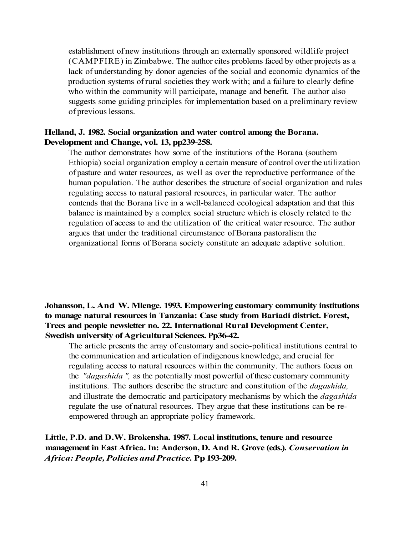establishment of new institutions through an externally sponsored wildlife project (CAMPFIRE) in Zimbabwe. The author cites problems faced by other projects as a lack of understanding by donor agencies of the social and economic dynamics of the production systems of rural societies they work with; and a failure to clearly define who within the community will participate, manage and benefit. The author also suggests some guiding principles for implementation based on a preliminary review of previous lessons.

#### **Helland, J. 1982. Social organization and water control among the Borana. Development and Change, vol. 13, pp239-258.**

The author demonstrates how some of the institutions of the Borana (southern Ethiopia) social organization employ a certain measure of control over the utilization of pasture and water resources, as well as over the reproductive performance of the human population. The author describes the structure of social organization and rules regulating access to natural pastoral resources, in particular water. The author contends that the Borana live in a well-balanced ecological adaptation and that this balance is maintained by a complex social structure which is closely related to the regulation of access to and the utilization of the critical water resource. The author argues that under the traditional circumstance of Borana pastoralism the organizational forms of Borana society constitute an adequate adaptive solution.

### **Johansson, L. And W. Mlenge. 1993. Empowering customary community institutions to manage natural resources in Tanzania: Case study from Bariadi district. Forest, Trees and people newsletter no. 22. International Rural Development Center, Swedish university of Agricultural Sciences. Pp36-42.**

The article presents the array of customary and socio-political institutions central to the communication and articulation of indigenous knowledge, and crucial for regulating access to natural resources within the community. The authors focus on the *"dagashida ",* as the potentially most powerful of these customary community institutions. The authors describe the structure and constitution of the *dagashida,*  and illustrate the democratic and participatory mechanisms by which the *dagashida*  regulate the use of natural resources. They argue that these institutions can be reempowered through an appropriate policy framework.

**Little, P.D. and D.W. Brokensha. 1987. Local institutions, tenure and resource management in East Africa. In: Anderson, D. And R. Grove (eds.).** *Conservation in Africa: People, Policies and Practice.* **Pp 193-209.**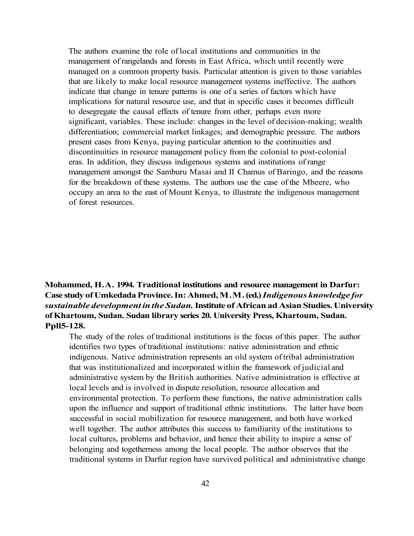The authors examine the role of local institutions and communities in the management of rangelands and forests in East Africa, which until recently were managed on a common property basis. Particular attention is given to those variables that are likely to make local resource management systems ineffective. The authors indicate that change in tenure patterns is one of a series of factors which have implications for natural resource use, and that in specific cases it becomes difficult to desegregate the causal effects of tenure from other, perhaps even more significant, variables. These include: changes in the level of decision-making; wealth differentiation; commercial market linkages; and demographic pressure. The authors present cases from Kenya, paying particular attention to the continuities and discontinuities in resource management policy from the colonial to post-colonial eras. In addition, they discuss indigenous systems and institutions of range management amongst the Samburu Masai and II Chamus of Baringo, and the reasons for the breakdown of these systems. The authors use the case of the Mbeere, who occupy an area to the east of Mount Kenya, to illustrate the indigenous management of forest resources.

# **Mohammed, H.A. 1994. Traditional institutions and resource management in Darfur: Case study of Umkedada Province. In: Ahmed, M.M. (ed.)** *Indigenous knowledge for sustainable development in the Sudan.* **Institute of African ad Asian Studies. University of Khartoum, Sudan. Sudan library series 20. University Press, Khartoum, Sudan. Ppll5-128.**

The study of the roles of traditional institutions is the focus of this paper. The author identifies two types of traditional institutions: native administration and ethnic indigenous. Native administration represents an old system of tribal administration that was institutionalized and incorporated within the framework of judicial and administrative system by the British authorities. Native administration is effective at local levels and is involved in dispute resolution, resource allocation and environmental protection. To perform these functions, the native administration calls upon the influence and support of traditional ethnic institutions. The latter have been successful in social mobilization for resource management, and both have worked well together. The author attributes this success to familiarity of the institutions to local cultures, problems and behavior, and hence their ability to inspire a sense of belonging and togetherness among the local people. The author observes that the traditional systems in Darfur region have survived political and administrative change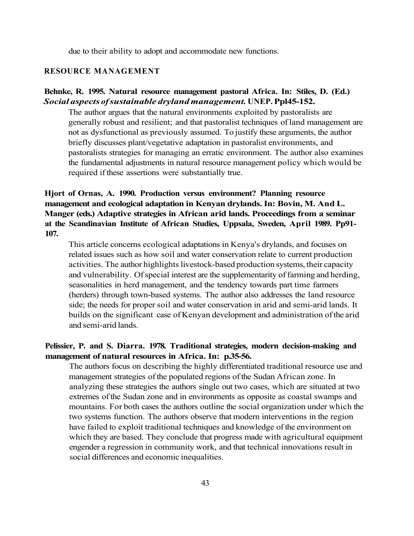due to their ability to adopt and accommodate new functions.

#### **RESOURCE MANAGEMENT**

#### **Behnke, R. 1995. Natural resource management pastoral Africa. In: Stiles, D. (Ed.)**  *Social aspects of sustainable dryland management.* **UNEP. Ppl45-152.**

The author argues that the natural environments exploited by pastoralists are generally robust and resilient; and that pastoralist techniques of land management are not as dysfunctional as previously assumed. To justify these arguments, the author briefly discusses plant/vegetative adaptation in pastoralist environments, and pastoralists strategies for managing an erratic environment. The author also examines the fundamental adjustments in natural resource management policy which would be required if these assertions were substantially true.

# **Hjort of Ornas, A. 1990. Production versus environment? Planning resource management and ecological adaptation in Kenyan drylands. In: Bovin, M. And L. Manger (eds.) Adaptive strategies in African arid lands. Proceedings from a seminar at the Scandinavian Institute of African Studies, Uppsala, Sweden, April 1989. Pp91- 107.**

This article concerns ecological adaptations in Kenya's drylands, and focuses on related issues such as how soil and water conservation relate to current production activities. The author highlights livestock-based production systems, their capacity and vulnerability. Of special interest are the supplementarity of farming and herding, seasonalities in herd management, and the tendency towards part time farmers (herders) through town-based systems. The author also addresses the land resource side; the needs for proper soil and water conservation in arid and semi-arid lands. It builds on the significant case of Kenyan development and administration of the arid and semi-arid lands.

#### **Pelissier, P. and S. Diarra. 1978. Traditional strategies, modern decision-making and management of natural resources in Africa. In: p.35-56.**

The authors focus on describing the highly differentiated traditional resource use and management strategies of the populated regions of the Sudan African zone. In analyzing these strategies the authors single out two cases, which are situated at two extremes of the Sudan zone and in environments as opposite as coastal swamps and mountains. For both cases the authors outline the social organization under which the two systems function. The authors observe that modern interventions in the region have failed to exploit traditional techniques and knowledge of the environment on which they are based. They conclude that progress made with agricultural equipment engender a regression in community work, and that technical innovations result in social differences and economic inequalities.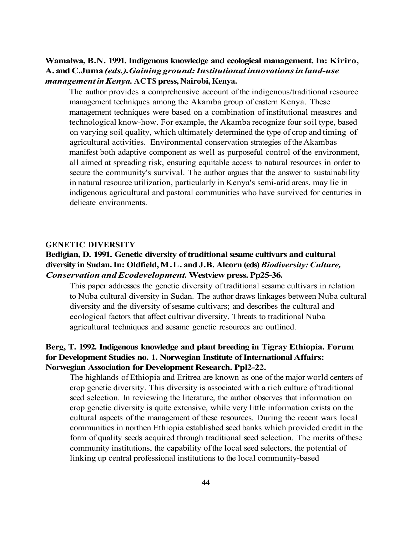# **Wamalwa, B.N. 1991. Indigenous knowledge and ecological management. In: Kiriro, A. and C.Juma** *(eds.).Gaining ground: Institutional innovations in land-use management in Kenya.* **ACTS press, Nairobi, Kenya.**

The author provides a comprehensive account of the indigenous/traditional resource management techniques among the Akamba group of eastern Kenya. These management techniques were based on a combination of institutional measures and technological know-how. For example, the Akamba recognize four soil type, based on varying soil quality, which ultimately determined the type of crop and timing of agricultural activities. Environmental conservation strategies of the Akambas manifest both adaptive component as well as purposeful control of the environment, all aimed at spreading risk, ensuring equitable access to natural resources in order to secure the community's survival. The author argues that the answer to sustainability in natural resource utilization, particularly in Kenya's semi-arid areas, may lie in indigenous agricultural and pastoral communities who have survived for centuries in delicate environments.

#### **GENETIC DIVERSITY**

## **Bedigian, D. 1991. Genetic diversity of traditional sesame cultivars and cultural diversity in Sudan. In: Oldfield, M.L. and J.B. Alcorn (eds)** *Biodiversity: Culture, Conservation and Ecodevelopment.* **Westview press. Pp25-36.**

This paper addresses the genetic diversity of traditional sesame cultivars in relation to Nuba cultural diversity in Sudan. The author draws linkages between Nuba cultural diversity and the diversity of sesame cultivars; and describes the cultural and ecological factors that affect cultivar diversity. Threats to traditional Nuba agricultural techniques and sesame genetic resources are outlined.

### **Berg, T. 1992. Indigenous knowledge and plant breeding in Tigray Ethiopia. Forum for Development Studies no. 1. Norwegian Institute of International Affairs: Norwegian Association for Development Research. Ppl2-22.**

The highlands of Ethiopia and Eritrea are known as one of the major world centers of crop genetic diversity. This diversity is associated with a rich culture of traditional seed selection. In reviewing the literature, the author observes that information on crop genetic diversity is quite extensive, while very little information exists on the cultural aspects of the management of these resources. During the recent wars local communities in northen Ethiopia established seed banks which provided credit in the form of quality seeds acquired through traditional seed selection. The merits of these community institutions, the capability of the local seed selectors, the potential of linking up central professional institutions to the local community-based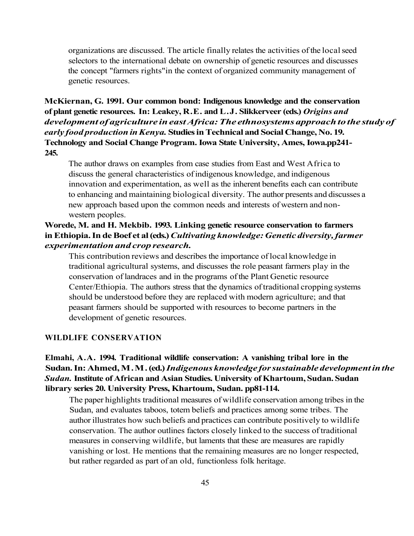organizations are discussed. The article finally relates the activities of the local seed selectors to the international debate on ownership of genetic resources and discusses the concept "farmers rights"in the context of organized community management of genetic resources.

# **McKiernan, G. 1991. Our common bond: Indigenous knowledge and the conservation of plant genetic resources. In: Leakey, R.E. and L.J. Slikkerveer (eds.)** *Origins and development of agriculture in east Africa: The ethnosystems approach to the study of early food production in Kenya.* **Studies in Technical and Social Change, No. 19. Technology and Social Change Program. Iowa State University, Ames, Iowa.pp241- 245.**

The author draws on examples from case studies from East and West Africa to discuss the general characteristics of indigenous knowledge, and indigenous innovation and experimentation, as well as the inherent benefits each can contribute to enhancing and maintaining biological diversity. The author presents and discusses a new approach based upon the common needs and interests of western and nonwestern peoples.

# **Worede, M. and H. Mekbib. 1993. Linking genetic resource conservation to farmers in Ethiopia. In de Boef et al (eds.)** *Cultivating knowledge: Genetic diversity, farmer experimentation and crop research.*

This contribution reviews and describes the importance of local knowledge in traditional agricultural systems, and discusses the role peasant farmers play in the conservation of landraces and in the programs of the Plant Genetic resource Center/Ethiopia. The authors stress that the dynamics of traditional cropping systems should be understood before they are replaced with modern agriculture; and that peasant farmers should be supported with resources to become partners in the development of genetic resources.

#### **WILDLIFE CONSERVATION**

# **Elmahi, A.A. 1994. Traditional wildlife conservation: A vanishing tribal lore in the Sudan. In: Ahmed, M.M. (ed.)** *Indigenous knowledge for sustainable development in the Sudan.* **Institute of African and Asian Studies. University of Khartoum, Sudan. Sudan library series 20. University Press, Khartoum, Sudan. pp81-114.**

The paper highlights traditional measures of wildlife conservation among tribes in the Sudan, and evaluates taboos, totem beliefs and practices among some tribes. The author illustrates how such beliefs and practices can contribute positively to wildlife conservation. The author outlines factors closely linked to the success of traditional measures in conserving wildlife, but laments that these are measures are rapidly vanishing or lost. He mentions that the remaining measures are no longer respected, but rather regarded as part of an old, functionless folk heritage.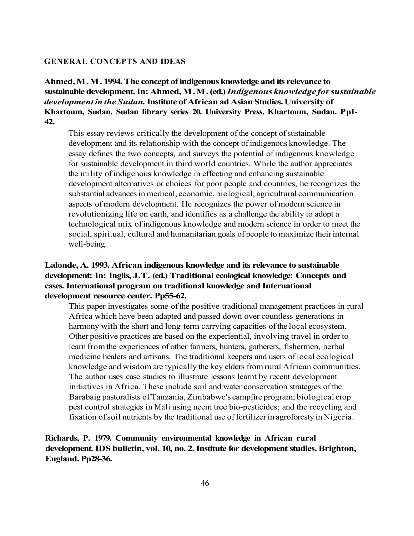#### **GENERAL CONCEPTS AND IDEAS**

**Ahmed, M.M. 1994. The concept of indigenous knowledge and its relevance to sustainable development. In: Ahmed, M.M. (ed.)** *Indigenous knowledge for sustainable development in the Sudan.* **Institute of African ad Asian Studies. University of Khartoum, Sudan. Sudan library series 20. University Press, Khartoum, Sudan. Ppl-42.** 

This essay reviews critically the development of the concept of sustainable development and its relationship with the concept of indigenous knowledge. The essay defines the two concepts, and surveys the potential of indigenous knowledge for sustainable development in third world countries. While the author appreciates the utility of indigenous knowledge in effecting and enhancing sustainable development alternatives or choices for poor people and countries, he recognizes the substantial advances in medical, economic, biological, agricultural communication aspects of modern development. He recognizes the power of modern science in revolutionizing life on earth, and identifies as a challenge the ability to adopt a technological mix of indigenous knowledge and modern science in order to meet the social, spiritual, cultural and humanitarian goals of people to maximize their internal well-being.

# **Lalonde, A. 1993. African indigenous knowledge and its relevance to sustainable development: In: Inglis, J.T. (ed.) Traditional ecological knowledge: Concepts and cases. International program on traditional knowledge and International development resource center. Pp55-62.**

This paper investigates some of the positive traditional management practices in rural Africa which have been adapted and passed down over countless generations in harmony with the short and long-term carrying capacities of the local ecosystem. Other positive practices are based on the experiential, involving travel in order to learn from the experiences of other farmers, hunters, gatherers, fishermen, herbal medicine healers and artisans. The traditional keepers and users of local ecological knowledge and wisdom are typically the key elders from rural African communities. The author uses case studies to illustrate lessons learnt by recent development initiatives in Africa. These include soil and water conservation strategies of the Barabaig pastoralists of Tanzania, Zimbabwe's campfire program; biological crop pest control strategies in Mali using neem tree bio-pesticides; and the recycling and fixation of soil nutrients by the traditional use of fertilizer in agroforesty in Nigeria.

# **Richards, P. 1979. Community environmental knowledge in African rural development. IDS bulletin, vol. 10, no. 2. Institute for development studies, Brighton, England. Pp28-36.**